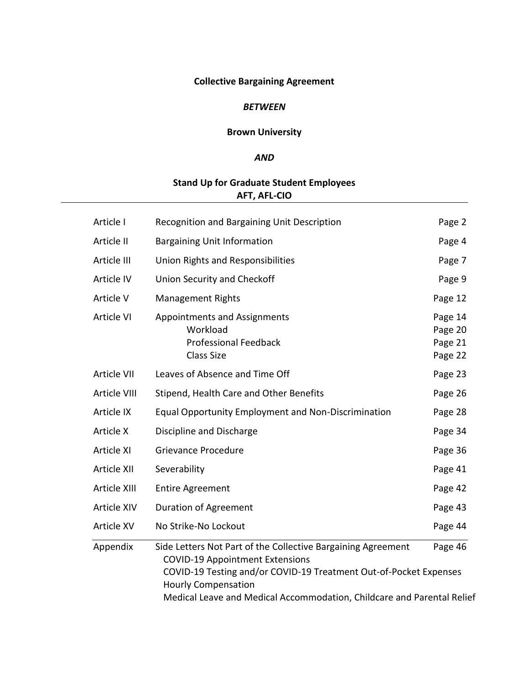# **Collective Bargaining Agreement**

## *BETWEEN*

# **Brown University**

# *AND*

# **Stand Up for Graduate Student Employees AFT, AFL-CIO**

| Article I    | Recognition and Bargaining Unit Description                                                                                                                                                                                                                                         | Page 2                                   |
|--------------|-------------------------------------------------------------------------------------------------------------------------------------------------------------------------------------------------------------------------------------------------------------------------------------|------------------------------------------|
| Article II   | <b>Bargaining Unit Information</b>                                                                                                                                                                                                                                                  | Page 4                                   |
| Article III  | Union Rights and Responsibilities                                                                                                                                                                                                                                                   | Page 7                                   |
| Article IV   | Union Security and Checkoff                                                                                                                                                                                                                                                         | Page 9                                   |
| Article V    | <b>Management Rights</b>                                                                                                                                                                                                                                                            | Page 12                                  |
| Article VI   | <b>Appointments and Assignments</b><br>Workload<br><b>Professional Feedback</b><br><b>Class Size</b>                                                                                                                                                                                | Page 14<br>Page 20<br>Page 21<br>Page 22 |
| Article VII  | Leaves of Absence and Time Off                                                                                                                                                                                                                                                      | Page 23                                  |
| Article VIII | Stipend, Health Care and Other Benefits                                                                                                                                                                                                                                             | Page 26                                  |
| Article IX   | <b>Equal Opportunity Employment and Non-Discrimination</b>                                                                                                                                                                                                                          | Page 28                                  |
| Article X    | Discipline and Discharge                                                                                                                                                                                                                                                            | Page 34                                  |
| Article XI   | Grievance Procedure                                                                                                                                                                                                                                                                 | Page 36                                  |
| Article XII  | Severability                                                                                                                                                                                                                                                                        | Page 41                                  |
| Article XIII | <b>Entire Agreement</b>                                                                                                                                                                                                                                                             | Page 42                                  |
| Article XIV  | <b>Duration of Agreement</b>                                                                                                                                                                                                                                                        | Page 43                                  |
| Article XV   | No Strike-No Lockout                                                                                                                                                                                                                                                                | Page 44                                  |
| Appendix     | Side Letters Not Part of the Collective Bargaining Agreement<br><b>COVID-19 Appointment Extensions</b><br>COVID-19 Testing and/or COVID-19 Treatment Out-of-Pocket Expenses<br><b>Hourly Compensation</b><br>Medical Leave and Medical Accommodation, Childcare and Parental Relief | Page 46                                  |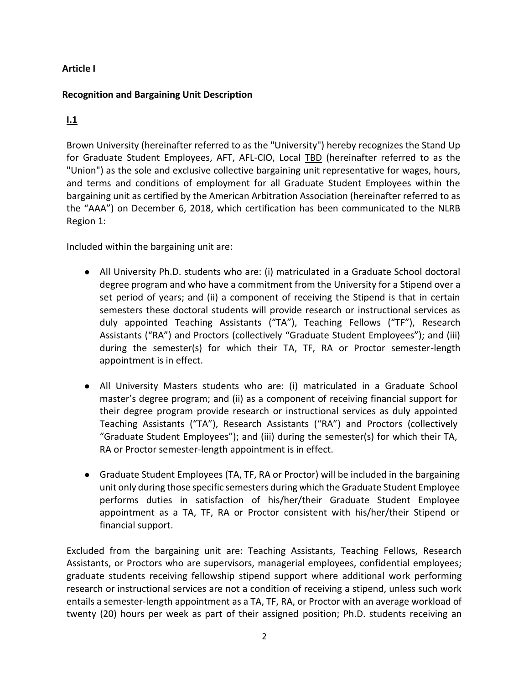# **Article I**

# **Recognition and Bargaining Unit Description**

# **I.1**

Brown University (hereinafter referred to as the "University") hereby recognizes the Stand Up for Graduate Student Employees, AFT, AFL-CIO, Local TBD (hereinafter referred to as the "Union") as the sole and exclusive collective bargaining unit representative for wages, hours, and terms and conditions of employment for all Graduate Student Employees within the bargaining unit as certified by the American Arbitration Association (hereinafter referred to as the "AAA") on December 6, 2018, which certification has been communicated to the NLRB Region 1:

Included within the bargaining unit are:

- All University Ph.D. students who are: (i) matriculated in a Graduate School doctoral degree program and who have a commitment from the University for a Stipend over a set period of years; and (ii) a component of receiving the Stipend is that in certain semesters these doctoral students will provide research or instructional services as duly appointed Teaching Assistants ("TA"), Teaching Fellows ("TF"), Research Assistants ("RA") and Proctors (collectively "Graduate Student Employees"); and (iii) during the semester(s) for which their TA, TF, RA or Proctor semester-length appointment is in effect.
- All University Masters students who are: (i) matriculated in a Graduate School master's degree program; and (ii) as a component of receiving financial support for their degree program provide research or instructional services as duly appointed Teaching Assistants ("TA"), Research Assistants ("RA") and Proctors (collectively "Graduate Student Employees"); and (iii) during the semester(s) for which their TA, RA or Proctor semester-length appointment is in effect.
- Graduate Student Employees (TA, TF, RA or Proctor) will be included in the bargaining unit only during those specific semesters during which the Graduate Student Employee performs duties in satisfaction of his/her/their Graduate Student Employee appointment as a TA, TF, RA or Proctor consistent with his/her/their Stipend or financial support.

Excluded from the bargaining unit are: Teaching Assistants, Teaching Fellows, Research Assistants, or Proctors who are supervisors, managerial employees, confidential employees; graduate students receiving fellowship stipend support where additional work performing research or instructional services are not a condition of receiving a stipend, unless such work entails a semester-length appointment as a TA, TF, RA, or Proctor with an average workload of twenty (20) hours per week as part of their assigned position; Ph.D. students receiving an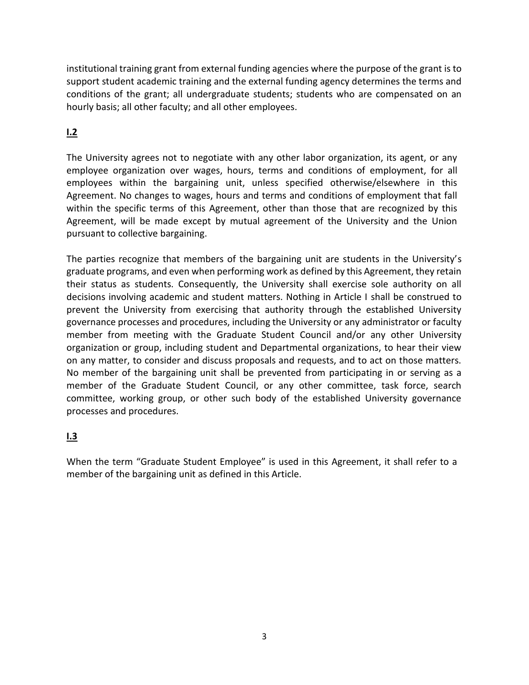institutional training grant from external funding agencies where the purpose of the grant is to support student academic training and the external funding agency determines the terms and conditions of the grant; all undergraduate students; students who are compensated on an hourly basis; all other faculty; and all other employees.

# **I.2**

The University agrees not to negotiate with any other labor organization, its agent, or any employee organization over wages, hours, terms and conditions of employment, for all employees within the bargaining unit, unless specified otherwise/elsewhere in this Agreement. No changes to wages, hours and terms and conditions of employment that fall within the specific terms of this Agreement, other than those that are recognized by this Agreement, will be made except by mutual agreement of the University and the Union pursuant to collective bargaining.

The parties recognize that members of the bargaining unit are students in the University's graduate programs, and even when performing work as defined by this Agreement, they retain their status as students. Consequently, the University shall exercise sole authority on all decisions involving academic and student matters. Nothing in Article I shall be construed to prevent the University from exercising that authority through the established University governance processes and procedures, including the University or any administrator or faculty member from meeting with the Graduate Student Council and/or any other University organization or group, including student and Departmental organizations, to hear their view on any matter, to consider and discuss proposals and requests, and to act on those matters. No member of the bargaining unit shall be prevented from participating in or serving as a member of the Graduate Student Council, or any other committee, task force, search committee, working group, or other such body of the established University governance processes and procedures.

# **I.3**

When the term "Graduate Student Employee" is used in this Agreement, it shall refer to a member of the bargaining unit as defined in this Article.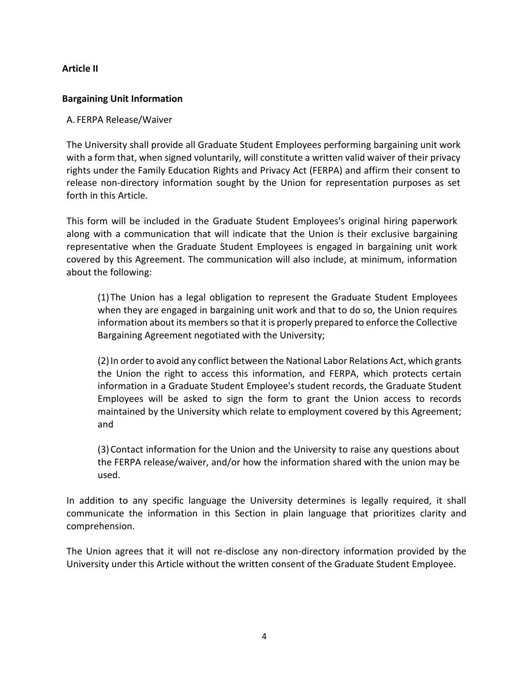# **Article II**

# **Bargaining Unit Information**

# A. FERPA Release/Waiver

The University shall provide all Graduate Student Employees performing bargaining unit work with a form that, when signed voluntarily, will constitute a written valid waiver of their privacy rights under the Family Education Rights and Privacy Act (FERPA) and affirm their consent to release non-directory information sought by the Union for representation purposes as set forth in this Article.

This form will be included in the Graduate Student Employees's original hiring paperwork along with a communication that will indicate that the Union is their exclusive bargaining representative when the Graduate Student Employees is engaged in bargaining unit work covered by this Agreement. The communication will also include, at minimum, information about the following:

(1)The Union has a legal obligation to represent the Graduate Student Employees when they are engaged in bargaining unit work and that to do so, the Union requires information about its members so that it is properly prepared to enforce the Collective Bargaining Agreement negotiated with the University;

(2)In order to avoid any conflict between the National Labor Relations Act, which grants the Union the right to access this information, and FERPA, which protects certain information in a Graduate Student Employee's student records, the Graduate Student Employees will be asked to sign the form to grant the Union access to records maintained by the University which relate to employment covered by this Agreement; and

(3)Contact information for the Union and the University to raise any questions about the FERPA release/waiver, and/or how the information shared with the union may be used.

In addition to any specific language the University determines is legally required, it shall communicate the information in this Section in plain language that prioritizes clarity and comprehension.

The Union agrees that it will not re-disclose any non-directory information provided by the University under this Article without the written consent of the Graduate Student Employee.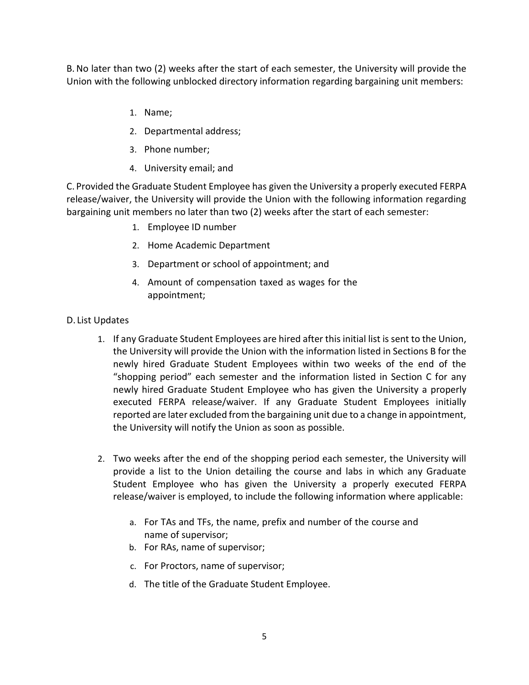B.No later than two (2) weeks after the start of each semester, the University will provide the Union with the following unblocked directory information regarding bargaining unit members:

- 1. Name;
- 2. Departmental address;
- 3. Phone number;
- 4. University email; and

C. Provided the Graduate Student Employee has given the University a properly executed FERPA release/waiver, the University will provide the Union with the following information regarding bargaining unit members no later than two (2) weeks after the start of each semester:

- 1. Employee ID number
- 2. Home Academic Department
- 3. Department or school of appointment; and
- 4. Amount of compensation taxed as wages for the appointment;

## D. List Updates

- 1. If any Graduate Student Employees are hired after this initial list is sent to the Union, the University will provide the Union with the information listed in Sections B for the newly hired Graduate Student Employees within two weeks of the end of the "shopping period" each semester and the information listed in Section C for any newly hired Graduate Student Employee who has given the University a properly executed FERPA release/waiver. If any Graduate Student Employees initially reported are later excluded from the bargaining unit due to a change in appointment, the University will notify the Union as soon as possible.
- 2. Two weeks after the end of the shopping period each semester, the University will provide a list to the Union detailing the course and labs in which any Graduate Student Employee who has given the University a properly executed FERPA release/waiver is employed, to include the following information where applicable:
	- a. For TAs and TFs, the name, prefix and number of the course and name of supervisor;
	- b. For RAs, name of supervisor;
	- c. For Proctors, name of supervisor;
	- d. The title of the Graduate Student Employee.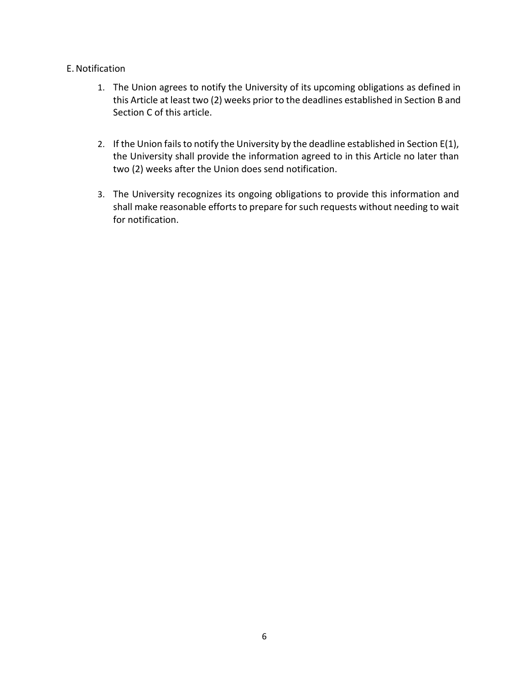# E.Notification

- 1. The Union agrees to notify the University of its upcoming obligations as defined in this Article at least two (2) weeks prior to the deadlines established in Section B and Section C of this article.
- 2. If the Union fails to notify the University by the deadline established in Section E(1), the University shall provide the information agreed to in this Article no later than two (2) weeks after the Union does send notification.
- 3. The University recognizes its ongoing obligations to provide this information and shall make reasonable efforts to prepare for such requests without needing to wait for notification.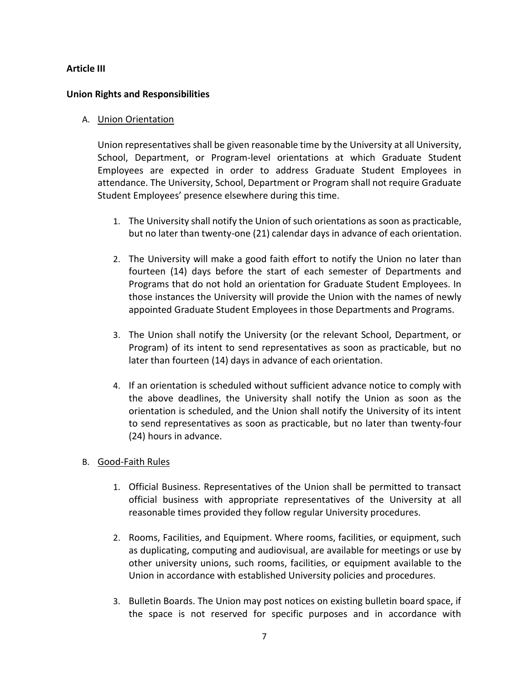## **Article III**

## **Union Rights and Responsibilities**

### A. Union Orientation

Union representatives shall be given reasonable time by the University at all University, School, Department, or Program-level orientations at which Graduate Student Employees are expected in order to address Graduate Student Employees in attendance. The University, School, Department or Program shall not require Graduate Student Employees' presence elsewhere during this time.

- 1. The University shall notify the Union of such orientations as soon as practicable, but no later than twenty-one (21) calendar days in advance of each orientation.
- 2. The University will make a good faith effort to notify the Union no later than fourteen (14) days before the start of each semester of Departments and Programs that do not hold an orientation for Graduate Student Employees. In those instances the University will provide the Union with the names of newly appointed Graduate Student Employees in those Departments and Programs.
- 3. The Union shall notify the University (or the relevant School, Department, or Program) of its intent to send representatives as soon as practicable, but no later than fourteen (14) days in advance of each orientation.
- 4. If an orientation is scheduled without sufficient advance notice to comply with the above deadlines, the University shall notify the Union as soon as the orientation is scheduled, and the Union shall notify the University of its intent to send representatives as soon as practicable, but no later than twenty-four (24) hours in advance.
- B. Good-Faith Rules
	- 1. Official Business. Representatives of the Union shall be permitted to transact official business with appropriate representatives of the University at all reasonable times provided they follow regular University procedures.
	- 2. Rooms, Facilities, and Equipment. Where rooms, facilities, or equipment, such as duplicating, computing and audiovisual, are available for meetings or use by other university unions, such rooms, facilities, or equipment available to the Union in accordance with established University policies and procedures.
	- 3. Bulletin Boards. The Union may post notices on existing bulletin board space, if the space is not reserved for specific purposes and in accordance with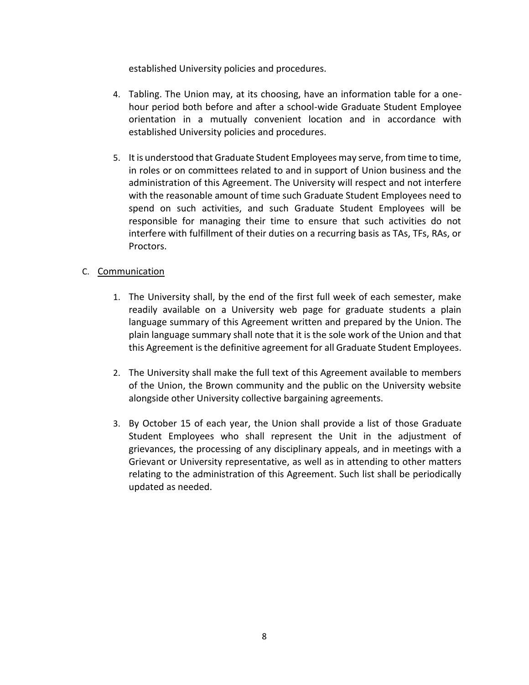established University policies and procedures.

- 4. Tabling. The Union may, at its choosing, have an information table for a onehour period both before and after a school-wide Graduate Student Employee orientation in a mutually convenient location and in accordance with established University policies and procedures.
- 5. It is understood that Graduate Student Employees may serve, from time to time, in roles or on committees related to and in support of Union business and the administration of this Agreement. The University will respect and not interfere with the reasonable amount of time such Graduate Student Employees need to spend on such activities, and such Graduate Student Employees will be responsible for managing their time to ensure that such activities do not interfere with fulfillment of their duties on a recurring basis as TAs, TFs, RAs, or Proctors.

# C. Communication

- 1. The University shall, by the end of the first full week of each semester, make readily available on a University web page for graduate students a plain language summary of this Agreement written and prepared by the Union. The plain language summary shall note that it is the sole work of the Union and that this Agreement is the definitive agreement for all Graduate Student Employees.
- 2. The University shall make the full text of this Agreement available to members of the Union, the Brown community and the public on the University website alongside other University collective bargaining agreements.
- 3. By October 15 of each year, the Union shall provide a list of those Graduate Student Employees who shall represent the Unit in the adjustment of grievances, the processing of any disciplinary appeals, and in meetings with a Grievant or University representative, as well as in attending to other matters relating to the administration of this Agreement. Such list shall be periodically updated as needed.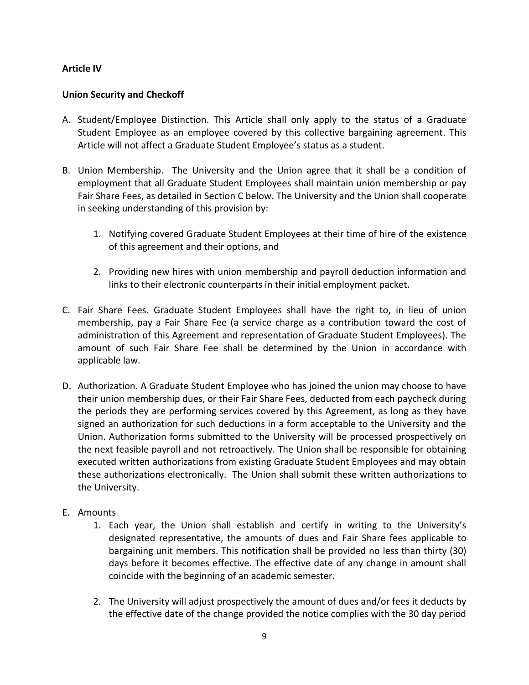# **Article IV**

# **Union Security and Checkoff**

- A. Student/Employee Distinction. This Article shall only apply to the status of a Graduate Student Employee as an employee covered by this collective bargaining agreement. This Article will not affect a Graduate Student Employee's status as a student.
- B. Union Membership. The University and the Union agree that it shall be a condition of employment that all Graduate Student Employees shall maintain union membership or pay Fair Share Fees, as detailed in Section C below. The University and the Union shall cooperate in seeking understanding of this provision by:
	- 1. Notifying covered Graduate Student Employees at their time of hire of the existence of this agreement and their options, and
	- 2. Providing new hires with union membership and payroll deduction information and links to their electronic counterparts in their initial employment packet.
- C. Fair Share Fees. Graduate Student Employees shall have the right to, in lieu of union membership, pay a Fair Share Fee (a service charge as a contribution toward the cost of administration of this Agreement and representation of Graduate Student Employees). The amount of such Fair Share Fee shall be determined by the Union in accordance with applicable law.
- D. Authorization. A Graduate Student Employee who has joined the union may choose to have their union membership dues, or their Fair Share Fees, deducted from each paycheck during the periods they are performing services covered by this Agreement, as long as they have signed an authorization for such deductions in a form acceptable to the University and the Union. Authorization forms submitted to the University will be processed prospectively on the next feasible payroll and not retroactively. The Union shall be responsible for obtaining executed written authorizations from existing Graduate Student Employees and may obtain these authorizations electronically. The Union shall submit these written authorizations to the University.
- E. Amounts
	- 1. Each year, the Union shall establish and certify in writing to the University's designated representative, the amounts of dues and Fair Share fees applicable to bargaining unit members. This notification shall be provided no less than thirty (30) days before it becomes effective. The effective date of any change in amount shall coincide with the beginning of an academic semester.
	- 2. The University will adjust prospectively the amount of dues and/or fees it deducts by the effective date of the change provided the notice complies with the 30 day period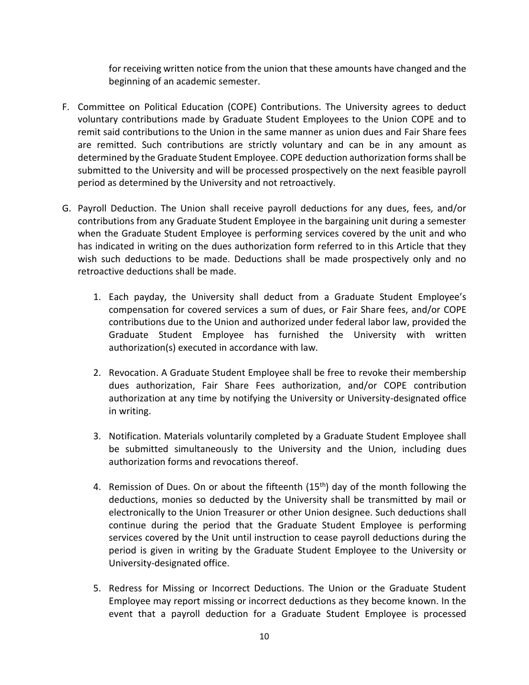for receiving written notice from the union that these amounts have changed and the beginning of an academic semester.

- F. Committee on Political Education (COPE) Contributions. The University agrees to deduct voluntary contributions made by Graduate Student Employees to the Union COPE and to remit said contributions to the Union in the same manner as union dues and Fair Share fees are remitted. Such contributions are strictly voluntary and can be in any amount as determined by the Graduate Student Employee. COPE deduction authorization forms shall be submitted to the University and will be processed prospectively on the next feasible payroll period as determined by the University and not retroactively.
- G. Payroll Deduction. The Union shall receive payroll deductions for any dues, fees, and/or contributions from any Graduate Student Employee in the bargaining unit during a semester when the Graduate Student Employee is performing services covered by the unit and who has indicated in writing on the dues authorization form referred to in this Article that they wish such deductions to be made. Deductions shall be made prospectively only and no retroactive deductions shall be made.
	- 1. Each payday, the University shall deduct from a Graduate Student Employee's compensation for covered services a sum of dues, or Fair Share fees, and/or COPE contributions due to the Union and authorized under federal labor law, provided the Graduate Student Employee has furnished the University with written authorization(s) executed in accordance with law.
	- 2. Revocation. A Graduate Student Employee shall be free to revoke their membership dues authorization, Fair Share Fees authorization, and/or COPE contribution authorization at any time by notifying the University or University-designated office in writing.
	- 3. Notification. Materials voluntarily completed by a Graduate Student Employee shall be submitted simultaneously to the University and the Union, including dues authorization forms and revocations thereof.
	- 4. Remission of Dues. On or about the fifteenth  $(15<sup>th</sup>)$  day of the month following the deductions, monies so deducted by the University shall be transmitted by mail or electronically to the Union Treasurer or other Union designee. Such deductions shall continue during the period that the Graduate Student Employee is performing services covered by the Unit until instruction to cease payroll deductions during the period is given in writing by the Graduate Student Employee to the University or University-designated office.
	- 5. Redress for Missing or Incorrect Deductions. The Union or the Graduate Student Employee may report missing or incorrect deductions as they become known. In the event that a payroll deduction for a Graduate Student Employee is processed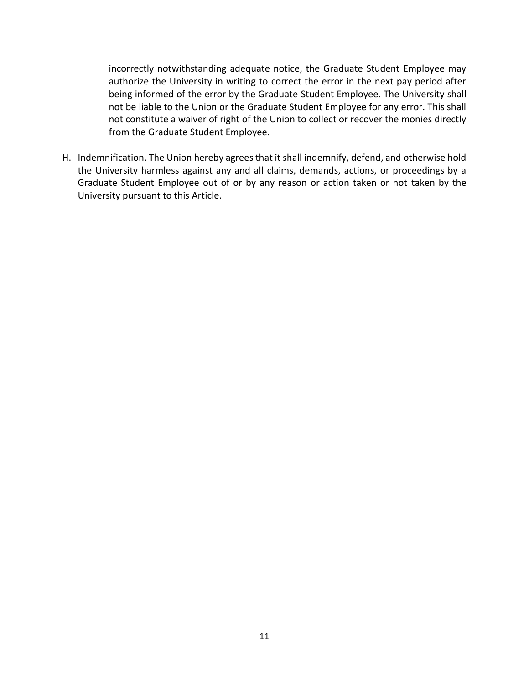incorrectly notwithstanding adequate notice, the Graduate Student Employee may authorize the University in writing to correct the error in the next pay period after being informed of the error by the Graduate Student Employee. The University shall not be liable to the Union or the Graduate Student Employee for any error. This shall not constitute a waiver of right of the Union to collect or recover the monies directly from the Graduate Student Employee.

H. Indemnification. The Union hereby agrees that it shall indemnify, defend, and otherwise hold the University harmless against any and all claims, demands, actions, or proceedings by a Graduate Student Employee out of or by any reason or action taken or not taken by the University pursuant to this Article.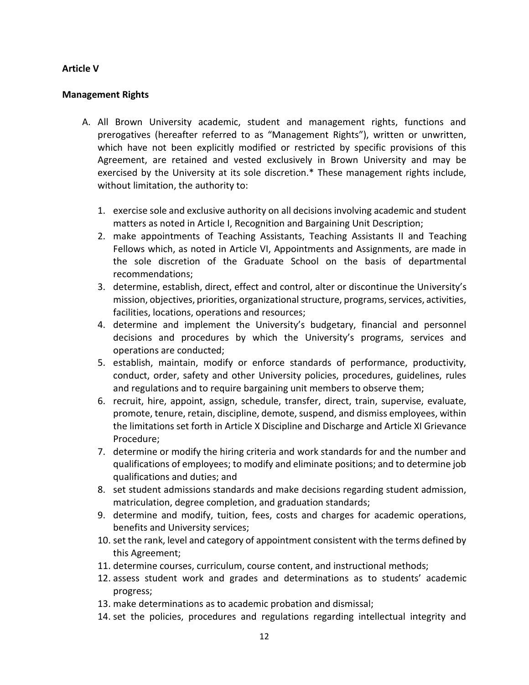## **Article V**

## **Management Rights**

- A. All Brown University academic, student and management rights, functions and prerogatives (hereafter referred to as "Management Rights"), written or unwritten, which have not been explicitly modified or restricted by specific provisions of this Agreement, are retained and vested exclusively in Brown University and may be exercised by the University at its sole discretion.\* These management rights include, without limitation, the authority to:
	- 1. exercise sole and exclusive authority on all decisions involving academic and student matters as noted in Article I, Recognition and Bargaining Unit Description;
	- 2. make appointments of Teaching Assistants, Teaching Assistants II and Teaching Fellows which, as noted in Article VI, Appointments and Assignments, are made in the sole discretion of the Graduate School on the basis of departmental recommendations;
	- 3. determine, establish, direct, effect and control, alter or discontinue the University's mission, objectives, priorities, organizational structure, programs, services, activities, facilities, locations, operations and resources;
	- 4. determine and implement the University's budgetary, financial and personnel decisions and procedures by which the University's programs, services and operations are conducted;
	- 5. establish, maintain, modify or enforce standards of performance, productivity, conduct, order, safety and other University policies, procedures, guidelines, rules and regulations and to require bargaining unit members to observe them;
	- 6. recruit, hire, appoint, assign, schedule, transfer, direct, train, supervise, evaluate, promote, tenure, retain, discipline, demote, suspend, and dismiss employees, within the limitations set forth in Article X Discipline and Discharge and Article XI Grievance Procedure;
	- 7. determine or modify the hiring criteria and work standards for and the number and qualifications of employees; to modify and eliminate positions; and to determine job qualifications and duties; and
	- 8. set student admissions standards and make decisions regarding student admission, matriculation, degree completion, and graduation standards;
	- 9. determine and modify, tuition, fees, costs and charges for academic operations, benefits and University services;
	- 10. set the rank, level and category of appointment consistent with the terms defined by this Agreement;
	- 11. determine courses, curriculum, course content, and instructional methods;
	- 12. assess student work and grades and determinations as to students' academic progress;
	- 13. make determinations as to academic probation and dismissal;
	- 14. set the policies, procedures and regulations regarding intellectual integrity and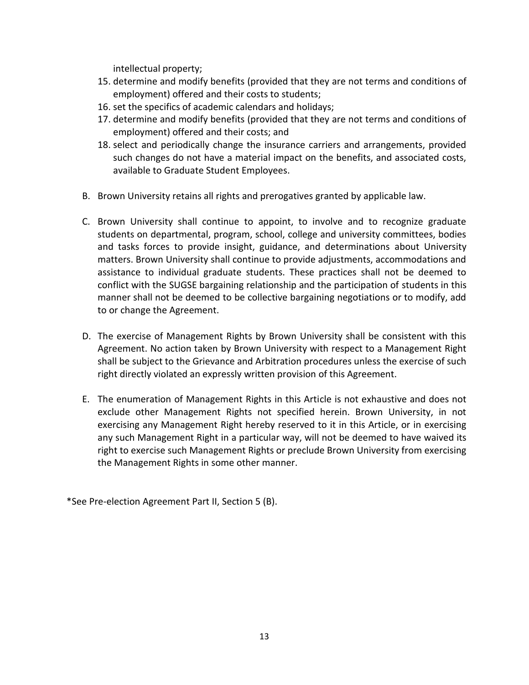intellectual property;

- 15. determine and modify benefits (provided that they are not terms and conditions of employment) offered and their costs to students;
- 16. set the specifics of academic calendars and holidays;
- 17. determine and modify benefits (provided that they are not terms and conditions of employment) offered and their costs; and
- 18. select and periodically change the insurance carriers and arrangements, provided such changes do not have a material impact on the benefits, and associated costs, available to Graduate Student Employees.
- B. Brown University retains all rights and prerogatives granted by applicable law.
- C. Brown University shall continue to appoint, to involve and to recognize graduate students on departmental, program, school, college and university committees, bodies and tasks forces to provide insight, guidance, and determinations about University matters. Brown University shall continue to provide adjustments, accommodations and assistance to individual graduate students. These practices shall not be deemed to conflict with the SUGSE bargaining relationship and the participation of students in this manner shall not be deemed to be collective bargaining negotiations or to modify, add to or change the Agreement.
- D. The exercise of Management Rights by Brown University shall be consistent with this Agreement. No action taken by Brown University with respect to a Management Right shall be subject to the Grievance and Arbitration procedures unless the exercise of such right directly violated an expressly written provision of this Agreement.
- E. The enumeration of Management Rights in this Article is not exhaustive and does not exclude other Management Rights not specified herein. Brown University, in not exercising any Management Right hereby reserved to it in this Article, or in exercising any such Management Right in a particular way, will not be deemed to have waived its right to exercise such Management Rights or preclude Brown University from exercising the Management Rights in some other manner.

\*See Pre-election Agreement Part II, Section 5 (B).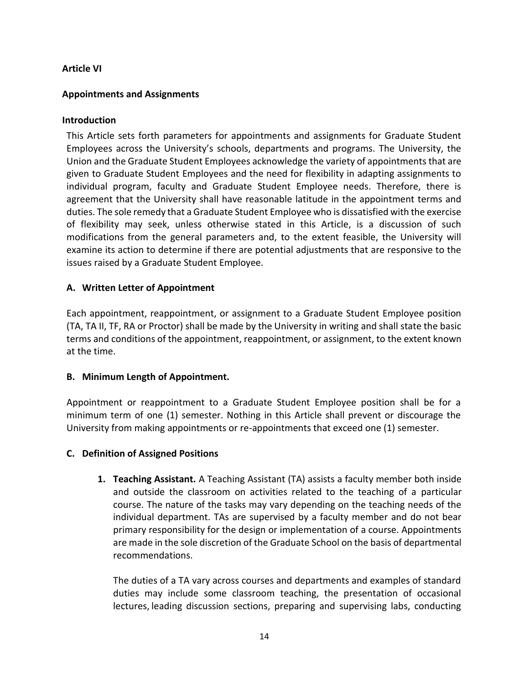# **Article VI**

## **Appointments and Assignments**

## **Introduction**

This Article sets forth parameters for appointments and assignments for Graduate Student Employees across the University's schools, departments and programs. The University, the Union and the Graduate Student Employees acknowledge the variety of appointments that are given to Graduate Student Employees and the need for flexibility in adapting assignments to individual program, faculty and Graduate Student Employee needs. Therefore, there is agreement that the University shall have reasonable latitude in the appointment terms and duties. The sole remedy that a Graduate Student Employee who is dissatisfied with the exercise of flexibility may seek, unless otherwise stated in this Article, is a discussion of such modifications from the general parameters and, to the extent feasible, the University will examine its action to determine if there are potential adjustments that are responsive to the issues raised by a Graduate Student Employee.

# **A. Written Letter of Appointment**

Each appointment, reappointment, or assignment to a Graduate Student Employee position (TA, TA II, TF, RA or Proctor) shall be made by the University in writing and shall state the basic terms and conditions of the appointment, reappointment, or assignment, to the extent known at the time.

## **B. Minimum Length of Appointment.**

Appointment or reappointment to a Graduate Student Employee position shall be for a minimum term of one (1) semester. Nothing in this Article shall prevent or discourage the University from making appointments or re-appointments that exceed one (1) semester.

## **C. Definition of Assigned Positions**

**1. Teaching Assistant.** A Teaching Assistant (TA) assists a faculty member both inside and outside the classroom on activities related to the teaching of a particular course. The nature of the tasks may vary depending on the teaching needs of the individual department. TAs are supervised by a faculty member and do not bear primary responsibility for the design or implementation of a course. Appointments are made in the sole discretion of the Graduate School on the basis of departmental recommendations.

The duties of a TA vary across courses and departments and examples of standard duties may include some classroom teaching, the presentation of occasional lectures, leading discussion sections, preparing and supervising labs, conducting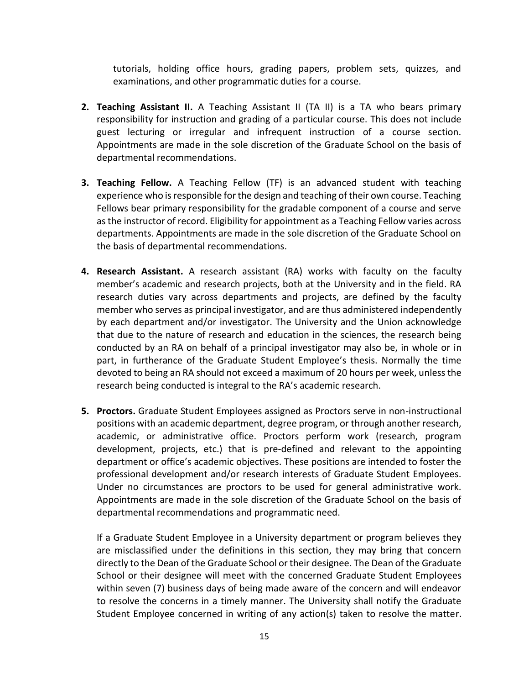tutorials, holding office hours, grading papers, problem sets, quizzes, and examinations, and other programmatic duties for a course.

- **2. Teaching Assistant II.** A Teaching Assistant II (TA II) is a TA who bears primary responsibility for instruction and grading of a particular course. This does not include guest lecturing or irregular and infrequent instruction of a course section. Appointments are made in the sole discretion of the Graduate School on the basis of departmental recommendations.
- **3. Teaching Fellow.** A Teaching Fellow (TF) is an advanced student with teaching experience who is responsible for the design and teaching of their own course. Teaching Fellows bear primary responsibility for the gradable component of a course and serve as the instructor of record. Eligibility for appointment as a Teaching Fellow varies across departments. Appointments are made in the sole discretion of the Graduate School on the basis of departmental recommendations.
- **4. Research Assistant.** A research assistant (RA) works with faculty on the faculty member's academic and research projects, both at the University and in the field. RA research duties vary across departments and projects, are defined by the faculty member who serves as principal investigator, and are thus administered independently by each department and/or investigator. The University and the Union acknowledge that due to the nature of research and education in the sciences, the research being conducted by an RA on behalf of a principal investigator may also be, in whole or in part, in furtherance of the Graduate Student Employee's thesis. Normally the time devoted to being an RA should not exceed a maximum of 20 hours per week, unless the research being conducted is integral to the RA's academic research.
- **5. Proctors.** Graduate Student Employees assigned as Proctors serve in non-instructional positions with an academic department, degree program, or through another research, academic, or administrative office. Proctors perform work (research, program development, projects, etc.) that is pre-defined and relevant to the appointing department or office's academic objectives. These positions are intended to foster the professional development and/or research interests of Graduate Student Employees. Under no circumstances are proctors to be used for general administrative work. Appointments are made in the sole discretion of the Graduate School on the basis of departmental recommendations and programmatic need.

If a Graduate Student Employee in a University department or program believes they are misclassified under the definitions in this section, they may bring that concern directly to the Dean of the Graduate School or their designee. The Dean of the Graduate School or their designee will meet with the concerned Graduate Student Employees within seven (7) business days of being made aware of the concern and will endeavor to resolve the concerns in a timely manner. The University shall notify the Graduate Student Employee concerned in writing of any action(s) taken to resolve the matter.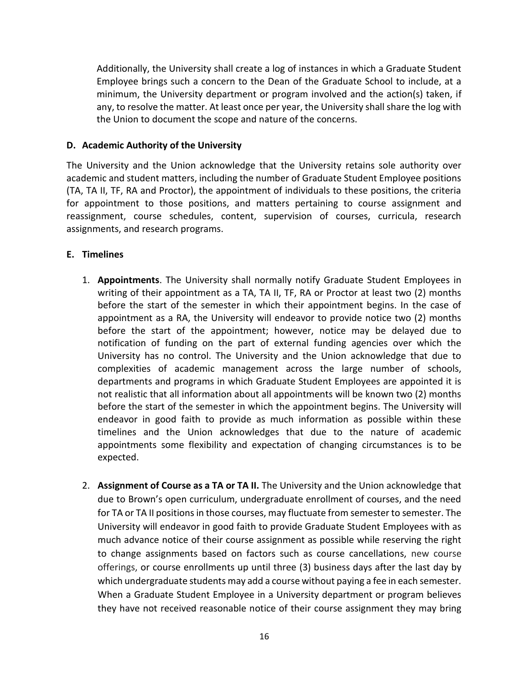Additionally, the University shall create a log of instances in which a Graduate Student Employee brings such a concern to the Dean of the Graduate School to include, at a minimum, the University department or program involved and the action(s) taken, if any, to resolve the matter. At least once per year, the University shall share the log with the Union to document the scope and nature of the concerns.

## **D. Academic Authority of the University**

The University and the Union acknowledge that the University retains sole authority over academic and student matters, including the number of Graduate Student Employee positions (TA, TA II, TF, RA and Proctor), the appointment of individuals to these positions, the criteria for appointment to those positions, and matters pertaining to course assignment and reassignment, course schedules, content, supervision of courses, curricula, research assignments, and research programs.

# **E. Timelines**

- 1. **Appointments**. The University shall normally notify Graduate Student Employees in writing of their appointment as a TA, TA II, TF, RA or Proctor at least two (2) months before the start of the semester in which their appointment begins. In the case of appointment as a RA, the University will endeavor to provide notice two (2) months before the start of the appointment; however, notice may be delayed due to notification of funding on the part of external funding agencies over which the University has no control. The University and the Union acknowledge that due to complexities of academic management across the large number of schools, departments and programs in which Graduate Student Employees are appointed it is not realistic that all information about all appointments will be known two (2) months before the start of the semester in which the appointment begins. The University will endeavor in good faith to provide as much information as possible within these timelines and the Union acknowledges that due to the nature of academic appointments some flexibility and expectation of changing circumstances is to be expected.
- 2. **Assignment of Course as a TA or TA II.** The University and the Union acknowledge that due to Brown's open curriculum, undergraduate enrollment of courses, and the need for TA or TA II positions in those courses, may fluctuate from semester to semester. The University will endeavor in good faith to provide Graduate Student Employees with as much advance notice of their course assignment as possible while reserving the right to change assignments based on factors such as course cancellations, new course offerings, or course enrollments up until three (3) business days after the last day by which undergraduate students may add a course without paying a fee in each semester. When a Graduate Student Employee in a University department or program believes they have not received reasonable notice of their course assignment they may bring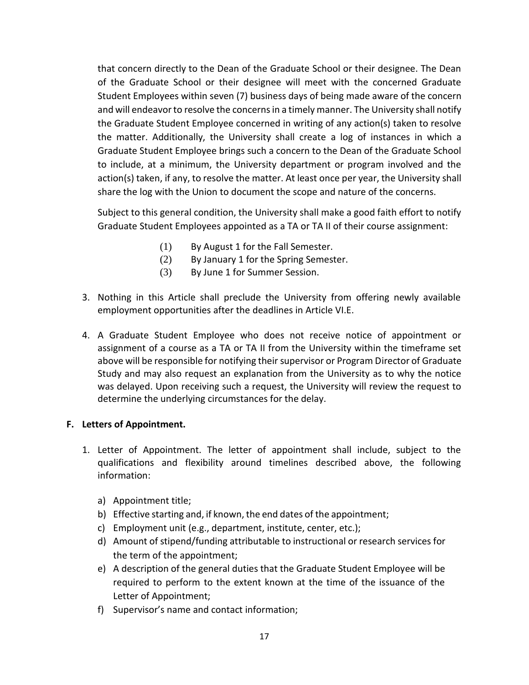that concern directly to the Dean of the Graduate School or their designee. The Dean of the Graduate School or their designee will meet with the concerned Graduate Student Employees within seven (7) business days of being made aware of the concern and will endeavor to resolve the concerns in a timely manner. The University shall notify the Graduate Student Employee concerned in writing of any action(s) taken to resolve the matter. Additionally, the University shall create a log of instances in which a Graduate Student Employee brings such a concern to the Dean of the Graduate School to include, at a minimum, the University department or program involved and the action(s) taken, if any, to resolve the matter. At least once per year, the University shall share the log with the Union to document the scope and nature of the concerns.

Subject to this general condition, the University shall make a good faith effort to notify Graduate Student Employees appointed as a TA or TA II of their course assignment:

- (1) By August 1 for the Fall Semester.
- (2) By January 1 for the Spring Semester.
- (3) By June 1 for Summer Session.
- 3. Nothing in this Article shall preclude the University from offering newly available employment opportunities after the deadlines in Article VI.E.
- 4. A Graduate Student Employee who does not receive notice of appointment or assignment of a course as a TA or TA II from the University within the timeframe set above will be responsible for notifying their supervisor or Program Director of Graduate Study and may also request an explanation from the University as to why the notice was delayed. Upon receiving such a request, the University will review the request to determine the underlying circumstances for the delay.

## **F. Letters of Appointment.**

- 1. Letter of Appointment. The letter of appointment shall include, subject to the qualifications and flexibility around timelines described above, the following information:
	- a) Appointment title;
	- b) Effective starting and, if known, the end dates of the appointment;
	- c) Employment unit (e.g., department, institute, center, etc.);
	- d) Amount of stipend/funding attributable to instructional or research services for the term of the appointment;
	- e) A description of the general duties that the Graduate Student Employee will be required to perform to the extent known at the time of the issuance of the Letter of Appointment;
	- f) Supervisor's name and contact information;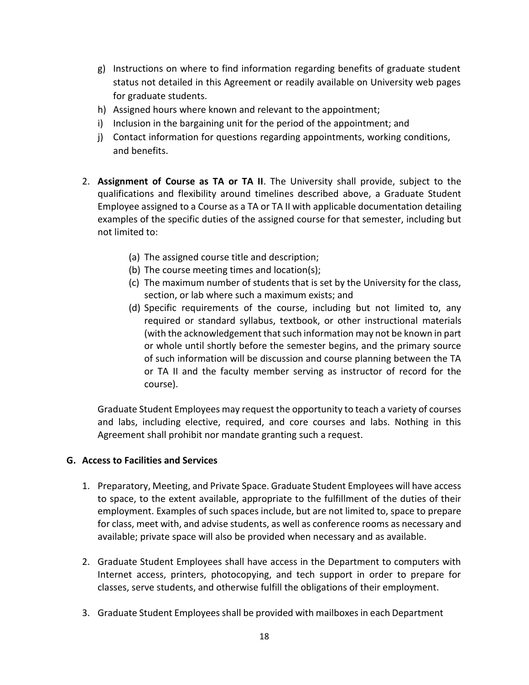- g) Instructions on where to find information regarding benefits of graduate student status not detailed in this Agreement or readily available on University web pages for graduate students.
- h) Assigned hours where known and relevant to the appointment;
- i) Inclusion in the bargaining unit for the period of the appointment; and
- j) Contact information for questions regarding appointments, working conditions, and benefits.
- 2. **Assignment of Course as TA or TA II**. The University shall provide, subject to the qualifications and flexibility around timelines described above, a Graduate Student Employee assigned to a Course as a TA or TA II with applicable documentation detailing examples of the specific duties of the assigned course for that semester, including but not limited to:
	- (a) The assigned course title and description;
	- (b) The course meeting times and location(s);
	- (c) The maximum number of students that is set by the University for the class, section, or lab where such a maximum exists; and
	- (d) Specific requirements of the course, including but not limited to, any required or standard syllabus, textbook, or other instructional materials (with the acknowledgement that such information may not be known in part or whole until shortly before the semester begins, and the primary source of such information will be discussion and course planning between the TA or TA II and the faculty member serving as instructor of record for the course).

Graduate Student Employees may request the opportunity to teach a variety of courses and labs, including elective, required, and core courses and labs. Nothing in this Agreement shall prohibit nor mandate granting such a request.

# **G. Access to Facilities and Services**

- 1. Preparatory, Meeting, and Private Space. Graduate Student Employees will have access to space, to the extent available, appropriate to the fulfillment of the duties of their employment. Examples of such spaces include, but are not limited to, space to prepare for class, meet with, and advise students, as well as conference rooms as necessary and available; private space will also be provided when necessary and as available.
- 2. Graduate Student Employees shall have access in the Department to computers with Internet access, printers, photocopying, and tech support in order to prepare for classes, serve students, and otherwise fulfill the obligations of their employment.
- 3. Graduate Student Employees shall be provided with mailboxes in each Department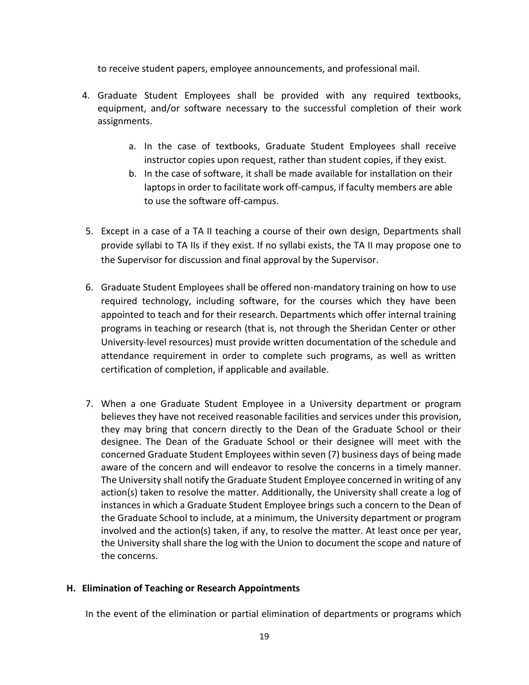to receive student papers, employee announcements, and professional mail.

- 4. Graduate Student Employees shall be provided with any required textbooks, equipment, and/or software necessary to the successful completion of their work assignments.
	- a. In the case of textbooks, Graduate Student Employees shall receive instructor copies upon request, rather than student copies, if they exist.
	- b. In the case of software, it shall be made available for installation on their laptops in order to facilitate work off-campus, if faculty members are able to use the software off-campus.
- 5. Except in a case of a TA II teaching a course of their own design, Departments shall provide syllabi to TA IIs if they exist. If no syllabi exists, the TA II may propose one to the Supervisor for discussion and final approval by the Supervisor.
- 6. Graduate Student Employees shall be offered non-mandatory training on how to use required technology, including software, for the courses which they have been appointed to teach and for their research. Departments which offer internal training programs in teaching or research (that is, not through the Sheridan Center or other University-level resources) must provide written documentation of the schedule and attendance requirement in order to complete such programs, as well as written certification of completion, if applicable and available.
- 7. When a one Graduate Student Employee in a University department or program believes they have not received reasonable facilities and services under this provision, they may bring that concern directly to the Dean of the Graduate School or their designee. The Dean of the Graduate School or their designee will meet with the concerned Graduate Student Employees within seven (7) business days of being made aware of the concern and will endeavor to resolve the concerns in a timely manner. The University shall notify the Graduate Student Employee concerned in writing of any action(s) taken to resolve the matter. Additionally, the University shall create a log of instances in which a Graduate Student Employee brings such a concern to the Dean of the Graduate School to include, at a minimum, the University department or program involved and the action(s) taken, if any, to resolve the matter. At least once per year, the University shall share the log with the Union to document the scope and nature of the concerns.

# **H. Elimination of Teaching or Research Appointments**

In the event of the elimination or partial elimination of departments or programs which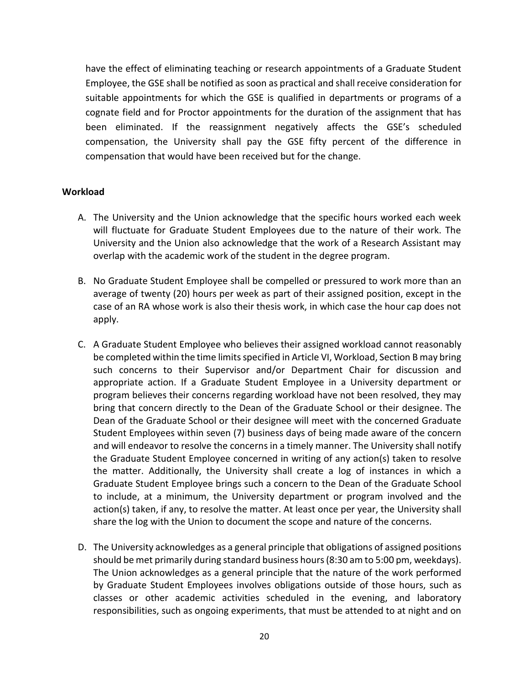have the effect of eliminating teaching or research appointments of a Graduate Student Employee, the GSE shall be notified as soon as practical and shall receive consideration for suitable appointments for which the GSE is qualified in departments or programs of a cognate field and for Proctor appointments for the duration of the assignment that has been eliminated. If the reassignment negatively affects the GSE's scheduled compensation, the University shall pay the GSE fifty percent of the difference in compensation that would have been received but for the change.

### **Workload**

- A. The University and the Union acknowledge that the specific hours worked each week will fluctuate for Graduate Student Employees due to the nature of their work. The University and the Union also acknowledge that the work of a Research Assistant may overlap with the academic work of the student in the degree program.
- B. No Graduate Student Employee shall be compelled or pressured to work more than an average of twenty (20) hours per week as part of their assigned position, except in the case of an RA whose work is also their thesis work, in which case the hour cap does not apply.
- C. A Graduate Student Employee who believes their assigned workload cannot reasonably be completed within the time limits specified in Article VI, Workload, Section B may bring such concerns to their Supervisor and/or Department Chair for discussion and appropriate action. If a Graduate Student Employee in a University department or program believes their concerns regarding workload have not been resolved, they may bring that concern directly to the Dean of the Graduate School or their designee. The Dean of the Graduate School or their designee will meet with the concerned Graduate Student Employees within seven (7) business days of being made aware of the concern and will endeavor to resolve the concerns in a timely manner. The University shall notify the Graduate Student Employee concerned in writing of any action(s) taken to resolve the matter. Additionally, the University shall create a log of instances in which a Graduate Student Employee brings such a concern to the Dean of the Graduate School to include, at a minimum, the University department or program involved and the action(s) taken, if any, to resolve the matter. At least once per year, the University shall share the log with the Union to document the scope and nature of the concerns.
- D. The University acknowledges as a general principle that obligations of assigned positions should be met primarily during standard business hours (8:30 am to 5:00 pm, weekdays). The Union acknowledges as a general principle that the nature of the work performed by Graduate Student Employees involves obligations outside of those hours, such as classes or other academic activities scheduled in the evening, and laboratory responsibilities, such as ongoing experiments, that must be attended to at night and on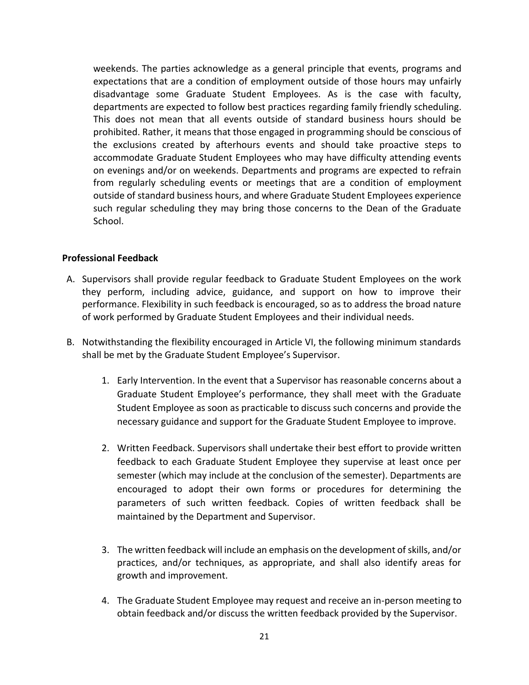weekends. The parties acknowledge as a general principle that events, programs and expectations that are a condition of employment outside of those hours may unfairly disadvantage some Graduate Student Employees. As is the case with faculty, departments are expected to follow best practices regarding family friendly scheduling. This does not mean that all events outside of standard business hours should be prohibited. Rather, it means that those engaged in programming should be conscious of the exclusions created by afterhours events and should take proactive steps to accommodate Graduate Student Employees who may have difficulty attending events on evenings and/or on weekends. Departments and programs are expected to refrain from regularly scheduling events or meetings that are a condition of employment outside of standard business hours, and where Graduate Student Employees experience such regular scheduling they may bring those concerns to the Dean of the Graduate School.

## **Professional Feedback**

- A. Supervisors shall provide regular feedback to Graduate Student Employees on the work they perform, including advice, guidance, and support on how to improve their performance. Flexibility in such feedback is encouraged, so as to address the broad nature of work performed by Graduate Student Employees and their individual needs.
- B. Notwithstanding the flexibility encouraged in Article VI, the following minimum standards shall be met by the Graduate Student Employee's Supervisor.
	- 1. Early Intervention. In the event that a Supervisor has reasonable concerns about a Graduate Student Employee's performance, they shall meet with the Graduate Student Employee as soon as practicable to discuss such concerns and provide the necessary guidance and support for the Graduate Student Employee to improve.
	- 2. Written Feedback. Supervisors shall undertake their best effort to provide written feedback to each Graduate Student Employee they supervise at least once per semester (which may include at the conclusion of the semester). Departments are encouraged to adopt their own forms or procedures for determining the parameters of such written feedback. Copies of written feedback shall be maintained by the Department and Supervisor.
	- 3. The written feedback will include an emphasis on the development of skills, and/or practices, and/or techniques, as appropriate, and shall also identify areas for growth and improvement.
	- 4. The Graduate Student Employee may request and receive an in-person meeting to obtain feedback and/or discuss the written feedback provided by the Supervisor.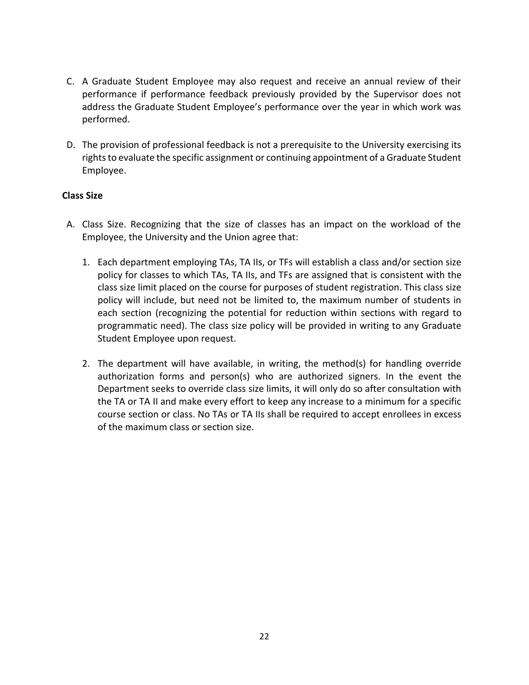- C. A Graduate Student Employee may also request and receive an annual review of their performance if performance feedback previously provided by the Supervisor does not address the Graduate Student Employee's performance over the year in which work was performed.
- D. The provision of professional feedback is not a prerequisite to the University exercising its rights to evaluate the specific assignment or continuing appointment of a Graduate Student Employee.

# **Class Size**

- A. Class Size. Recognizing that the size of classes has an impact on the workload of the Employee, the University and the Union agree that:
	- 1. Each department employing TAs, TA IIs, or TFs will establish a class and/or section size policy for classes to which TAs, TA IIs, and TFs are assigned that is consistent with the class size limit placed on the course for purposes of student registration. This class size policy will include, but need not be limited to, the maximum number of students in each section (recognizing the potential for reduction within sections with regard to programmatic need). The class size policy will be provided in writing to any Graduate Student Employee upon request.
	- 2. The department will have available, in writing, the method(s) for handling override authorization forms and person(s) who are authorized signers. In the event the Department seeks to override class size limits, it will only do so after consultation with the TA or TA II and make every effort to keep any increase to a minimum for a specific course section or class. No TAs or TA IIs shall be required to accept enrollees in excess of the maximum class or section size.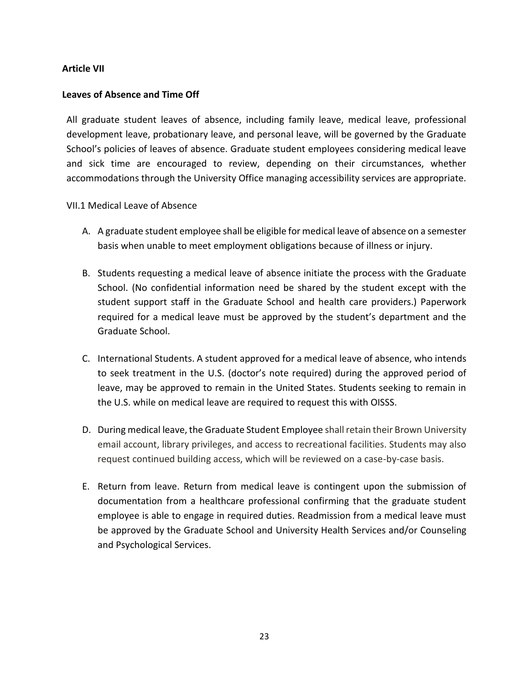# **Article VII**

## **Leaves of Absence and Time Off**

All graduate student leaves of absence, including family leave, medical leave, professional development leave, probationary leave, and personal leave, will be governed by the Graduate School's policies of leaves of absence. Graduate student employees considering medical leave and sick time are encouraged to review, depending on their circumstances, whether accommodations through the University Office managing accessibility services are appropriate.

## VII.1 Medical Leave of Absence

- A. A graduate student employee shall be eligible for medical leave of absence on a semester basis when unable to meet employment obligations because of illness or injury.
- B. Students requesting a medical leave of absence initiate the process with the Graduate School. (No confidential information need be shared by the student except with the student support staff in the Graduate School and health care providers.) Paperwork required for a medical leave must be approved by the student's department and the Graduate School.
- C. International Students. A student approved for a medical leave of absence, who intends to seek treatment in the U.S. (doctor's note required) during the approved period of leave, may be approved to remain in the United States. Students seeking to remain in the U.S. while on medical leave are required to request this with OISSS.
- D. During medical leave, the Graduate Student Employee shall retain their Brown University email account, library privileges, and access to recreational facilities. Students may also request continued building access, which will be reviewed on a case-by-case basis.
- E. Return from leave. Return from medical leave is contingent upon the submission of documentation from a healthcare professional confirming that the graduate student employee is able to engage in required duties. Readmission from a medical leave must be approved by the Graduate School and University Health Services and/or Counseling and Psychological Services.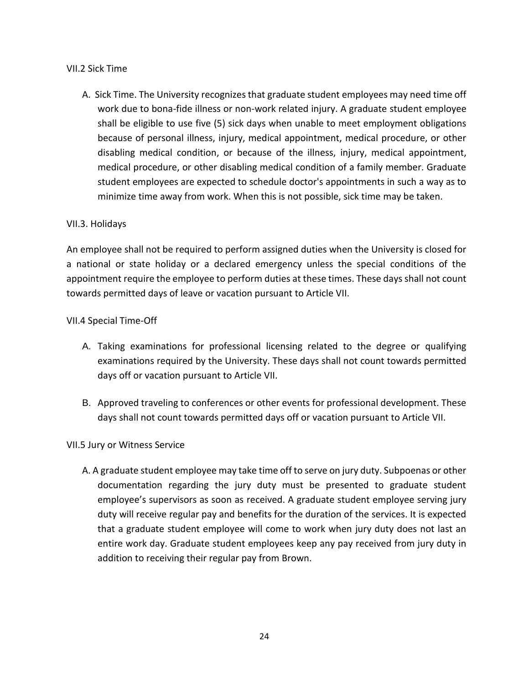# VII.2 Sick Time

A. Sick Time. The University recognizes that graduate student employees may need time off work due to bona-fide illness or non-work related injury. A graduate student employee shall be eligible to use five (5) sick days when unable to meet employment obligations because of personal illness, injury, medical appointment, medical procedure, or other disabling medical condition, or because of the illness, injury, medical appointment, medical procedure, or other disabling medical condition of a family member. Graduate student employees are expected to schedule doctor's appointments in such a way as to minimize time away from work. When this is not possible, sick time may be taken.

# VII.3. Holidays

An employee shall not be required to perform assigned duties when the University is closed for a national or state holiday or a declared emergency unless the special conditions of the appointment require the employee to perform duties at these times. These days shall not count towards permitted days of leave or vacation pursuant to Article VII.

# VII.4 Special Time-Off

- A. Taking examinations for professional licensing related to the degree or qualifying examinations required by the University. These days shall not count towards permitted days off or vacation pursuant to Article VII.
- B. Approved traveling to conferences or other events for professional development. These days shall not count towards permitted days off or vacation pursuant to Article VII.

## VII.5 Jury or Witness Service

A. A graduate student employee may take time off to serve on jury duty. Subpoenas or other documentation regarding the jury duty must be presented to graduate student employee's supervisors as soon as received. A graduate student employee serving jury duty will receive regular pay and benefits for the duration of the services. It is expected that a graduate student employee will come to work when jury duty does not last an entire work day. Graduate student employees keep any pay received from jury duty in addition to receiving their regular pay from Brown.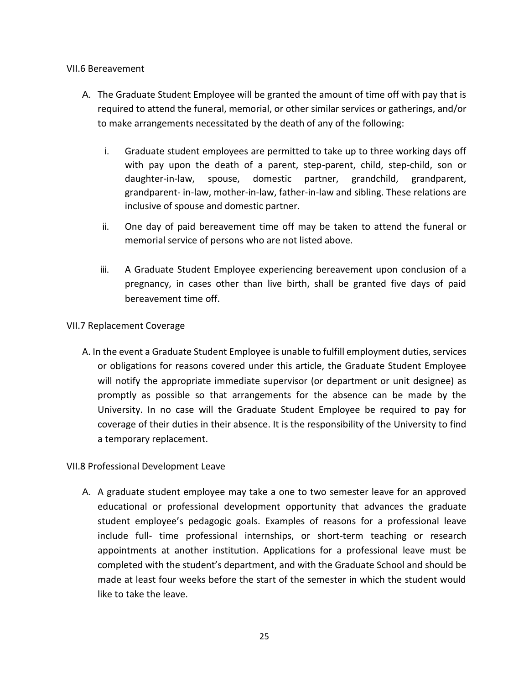## VII.6 Bereavement

- A. The Graduate Student Employee will be granted the amount of time off with pay that is required to attend the funeral, memorial, or other similar services or gatherings, and/or to make arrangements necessitated by the death of any of the following:
	- i. Graduate student employees are permitted to take up to three working days off with pay upon the death of a parent, step-parent, child, step-child, son or daughter-in-law, spouse, domestic partner, grandchild, grandparent, grandparent- in-law, mother-in-law, father-in-law and sibling. These relations are inclusive of spouse and domestic partner.
	- ii. One day of paid bereavement time off may be taken to attend the funeral or memorial service of persons who are not listed above.
	- iii. A Graduate Student Employee experiencing bereavement upon conclusion of a pregnancy, in cases other than live birth, shall be granted five days of paid bereavement time off.

## VII.7 Replacement Coverage

A. In the event a Graduate Student Employee is unable to fulfill employment duties, services or obligations for reasons covered under this article, the Graduate Student Employee will notify the appropriate immediate supervisor (or department or unit designee) as promptly as possible so that arrangements for the absence can be made by the University. In no case will the Graduate Student Employee be required to pay for coverage of their duties in their absence. It is the responsibility of the University to find a temporary replacement.

# VII.8 Professional Development Leave

A. A graduate student employee may take a one to two semester leave for an approved educational or professional development opportunity that advances the graduate student employee's pedagogic goals. Examples of reasons for a professional leave include full- time professional internships, or short-term teaching or research appointments at another institution. Applications for a professional leave must be completed with the student's department, and with the Graduate School and should be made at least four weeks before the start of the semester in which the student would like to take the leave.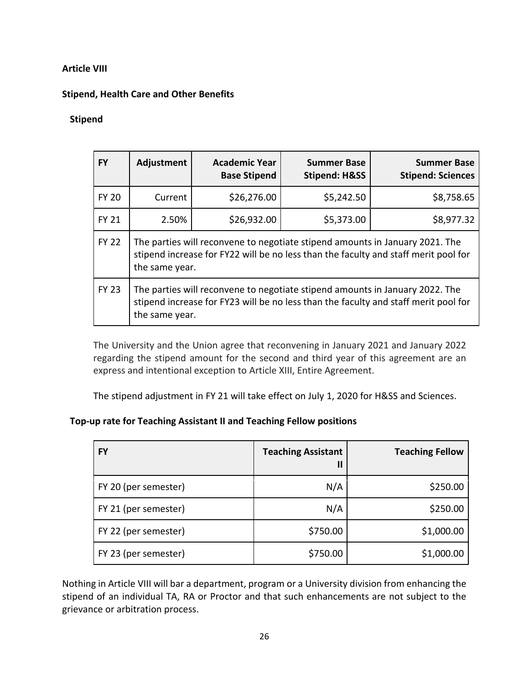# **Article VIII**

# **Stipend, Health Care and Other Benefits**

## **Stipend**

| <b>FY</b>    | Adjustment                                                                                                                                                                            | <b>Academic Year</b><br><b>Base Stipend</b> | <b>Summer Base</b><br><b>Stipend: H&amp;SS</b> | <b>Summer Base</b><br><b>Stipend: Sciences</b> |
|--------------|---------------------------------------------------------------------------------------------------------------------------------------------------------------------------------------|---------------------------------------------|------------------------------------------------|------------------------------------------------|
| <b>FY 20</b> | Current                                                                                                                                                                               | \$26,276.00                                 | \$5,242.50                                     | \$8,758.65                                     |
| <b>FY 21</b> | 2.50%                                                                                                                                                                                 | \$26,932.00                                 | \$5,373.00                                     | \$8,977.32                                     |
| <b>FY 22</b> | The parties will reconvene to negotiate stipend amounts in January 2021. The<br>stipend increase for FY22 will be no less than the faculty and staff merit pool for<br>the same year. |                                             |                                                |                                                |
| <b>FY 23</b> | The parties will reconvene to negotiate stipend amounts in January 2022. The<br>stipend increase for FY23 will be no less than the faculty and staff merit pool for<br>the same year. |                                             |                                                |                                                |

The University and the Union agree that reconvening in January 2021 and January 2022 regarding the stipend amount for the second and third year of this agreement are an express and intentional exception to Article XIII, Entire Agreement.

The stipend adjustment in FY 21 will take effect on July 1, 2020 for H&SS and Sciences.

**Top-up rate for Teaching Assistant II and Teaching Fellow positions**

| <b>FY</b>            | <b>Teaching Assistant</b><br>Ш | <b>Teaching Fellow</b> |
|----------------------|--------------------------------|------------------------|
| FY 20 (per semester) | N/A                            | \$250.00               |
| FY 21 (per semester) | N/A                            | \$250.00               |
| FY 22 (per semester) | \$750.00                       | \$1,000.00             |
| FY 23 (per semester) | \$750.00                       | \$1,000.00             |

Nothing in Article VIII will bar a department, program or a University division from enhancing the stipend of an individual TA, RA or Proctor and that such enhancements are not subject to the grievance or arbitration process.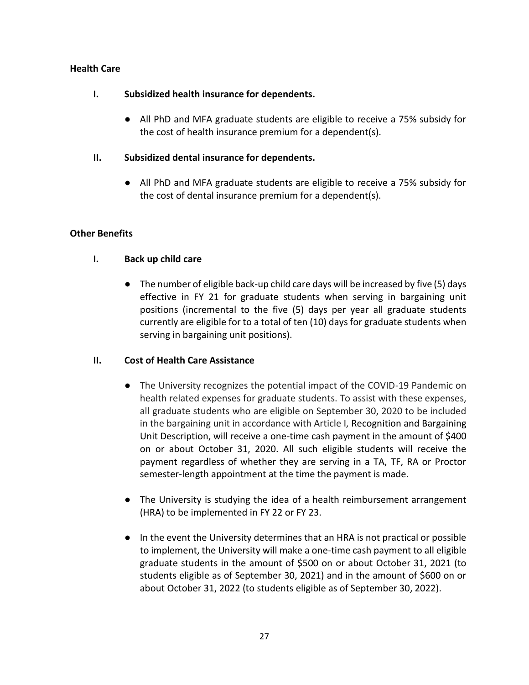# **Health Care**

## **I. Subsidized health insurance for dependents.**

● All PhD and MFA graduate students are eligible to receive a 75% subsidy for the cost of health insurance premium for a dependent(s).

# **II. Subsidized dental insurance for dependents.**

● All PhD and MFA graduate students are eligible to receive a 75% subsidy for the cost of dental insurance premium for a dependent(s).

# **Other Benefits**

# **I. Back up child care**

● The number of eligible back-up child care days will be increased by five (5) days effective in FY 21 for graduate students when serving in bargaining unit positions (incremental to the five (5) days per year all graduate students currently are eligible for to a total of ten (10) days for graduate students when serving in bargaining unit positions).

## **II. Cost of Health Care Assistance**

- The University recognizes the potential impact of the COVID-19 Pandemic on health related expenses for graduate students. To assist with these expenses, all graduate students who are eligible on September 30, 2020 to be included in the bargaining unit in accordance with Article I, Recognition and Bargaining Unit Description, will receive a one-time cash payment in the amount of \$400 on or about October 31, 2020. All such eligible students will receive the payment regardless of whether they are serving in a TA, TF, RA or Proctor semester-length appointment at the time the payment is made.
- The University is studying the idea of a health reimbursement arrangement (HRA) to be implemented in FY 22 or FY 23.
- In the event the University determines that an HRA is not practical or possible to implement, the University will make a one-time cash payment to all eligible graduate students in the amount of \$500 on or about October 31, 2021 (to students eligible as of September 30, 2021) and in the amount of \$600 on or about October 31, 2022 (to students eligible as of September 30, 2022).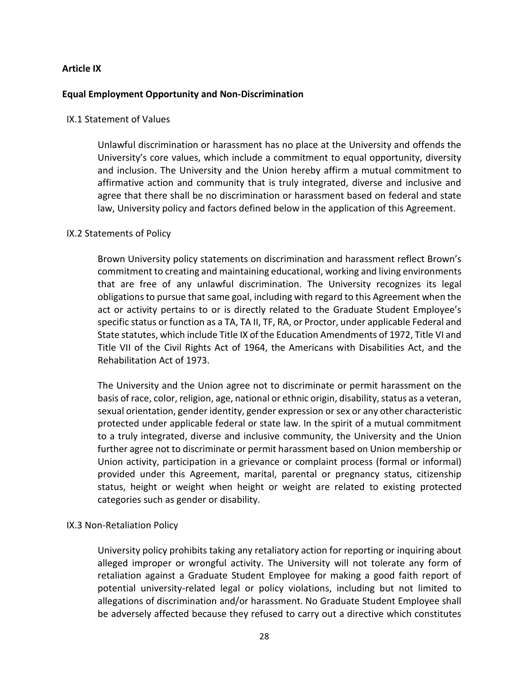### **Article IX**

#### **Equal Employment Opportunity and Non-Discrimination**

#### IX.1 Statement of Values

Unlawful discrimination or harassment has no place at the University and offends the University's core values, which include a commitment to equal opportunity, diversity and inclusion. The University and the Union hereby affirm a mutual commitment to affirmative action and community that is truly integrated, diverse and inclusive and agree that there shall be no discrimination or harassment based on federal and state law, University policy and factors defined below in the application of this Agreement.

### IX.2 Statements of Policy

Brown University policy statements on discrimination and harassment reflect Brown's commitment to creating and maintaining educational, working and living environments that are free of any unlawful discrimination. The University recognizes its legal obligations to pursue that same goal, including with regard to this Agreement when the act or activity pertains to or is directly related to the Graduate Student Employee's specific status or function as a TA, TA II, TF, RA, or Proctor, under applicable Federal and State statutes, which include Title IX of the Education Amendments of 1972, Title VI and Title VII of the Civil Rights Act of 1964, the Americans with Disabilities Act, and the Rehabilitation Act of 1973.

The University and the Union agree not to discriminate or permit harassment on the basis of race, color, religion, age, national or ethnic origin, disability, status as a veteran, sexual orientation, gender identity, gender expression or sex or any other characteristic protected under applicable federal or state law. In the spirit of a mutual commitment to a truly integrated, diverse and inclusive community, the University and the Union further agree not to discriminate or permit harassment based on Union membership or Union activity, participation in a grievance or complaint process (formal or informal) provided under this Agreement, marital, parental or pregnancy status, citizenship status, height or weight when height or weight are related to existing protected categories such as gender or disability.

#### IX.3 Non-Retaliation Policy

University policy prohibits taking any retaliatory action for reporting or inquiring about alleged improper or wrongful activity. The University will not tolerate any form of retaliation against a Graduate Student Employee for making a good faith report of potential university-related legal or policy violations, including but not limited to allegations of discrimination and/or harassment. No Graduate Student Employee shall be adversely affected because they refused to carry out a directive which constitutes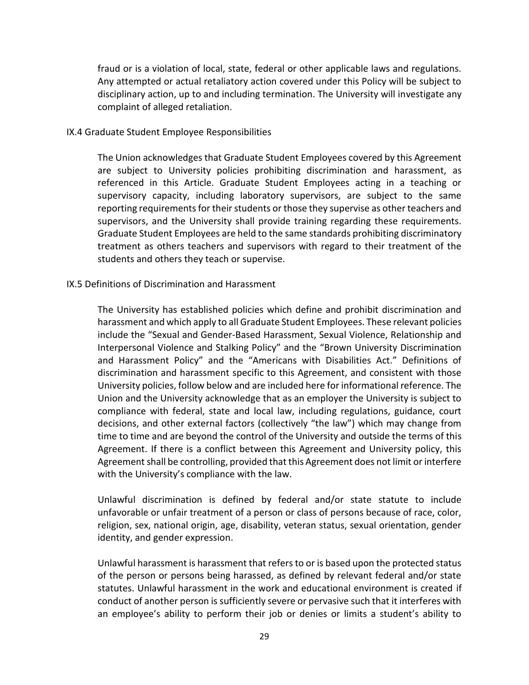fraud or is a violation of local, state, federal or other applicable laws and regulations. Any attempted or actual retaliatory action covered under this Policy will be subject to disciplinary action, up to and including termination. The University will investigate any complaint of alleged retaliation.

#### IX.4 Graduate Student Employee Responsibilities

The Union acknowledges that Graduate Student Employees covered by this Agreement are subject to University policies prohibiting discrimination and harassment, as referenced in this Article. Graduate Student Employees acting in a teaching or supervisory capacity, including laboratory supervisors, are subject to the same reporting requirements for their students or those they supervise as other teachers and supervisors, and the University shall provide training regarding these requirements. Graduate Student Employees are held to the same standards prohibiting discriminatory treatment as others teachers and supervisors with regard to their treatment of the students and others they teach or supervise.

#### IX.5 Definitions of Discrimination and Harassment

The University has established policies which define and prohibit discrimination and harassment and which apply to all Graduate Student Employees. These relevant policies include the "Sexual and Gender-Based Harassment, Sexual Violence, Relationship and Interpersonal Violence and Stalking Policy" and the "Brown University Discrimination and Harassment Policy" and the "Americans with Disabilities Act." Definitions of discrimination and harassment specific to this Agreement, and consistent with those University policies, follow below and are included here for informational reference. The Union and the University acknowledge that as an employer the University is subject to compliance with federal, state and local law, including regulations, guidance, court decisions, and other external factors (collectively "the law") which may change from time to time and are beyond the control of the University and outside the terms of this Agreement. If there is a conflict between this Agreement and University policy, this Agreement shall be controlling, provided that this Agreement does not limit or interfere with the University's compliance with the law.

Unlawful discrimination is defined by federal and/or state statute to include unfavorable or unfair treatment of a person or class of persons because of race, color, religion, sex, national origin, age, disability, veteran status, sexual orientation, gender identity, and gender expression.

Unlawful harassment is harassment that refers to or is based upon the protected status of the person or persons being harassed, as defined by relevant federal and/or state statutes. Unlawful harassment in the work and educational environment is created if conduct of another person is sufficiently severe or pervasive such that it interferes with an employee's ability to perform their job or denies or limits a student's ability to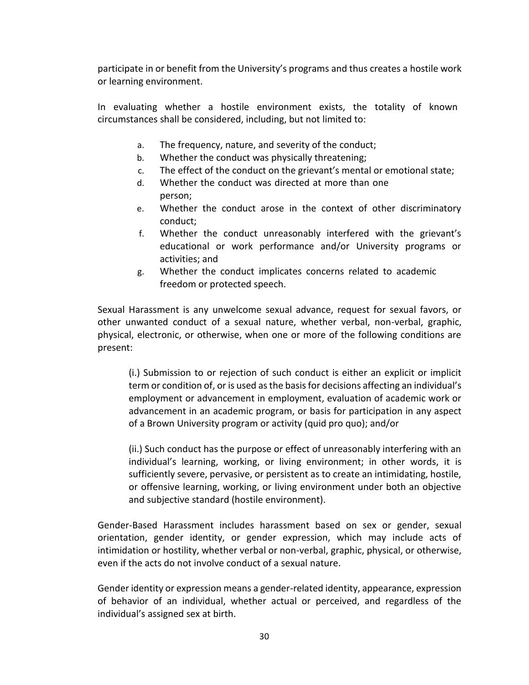participate in or benefit from the University's programs and thus creates a hostile work or learning environment.

In evaluating whether a hostile environment exists, the totality of known circumstances shall be considered, including, but not limited to:

- a. The frequency, nature, and severity of the conduct;
- b. Whether the conduct was physically threatening;
- c. The effect of the conduct on the grievant's mental or emotional state;
- d. Whether the conduct was directed at more than one person;
- e. Whether the conduct arose in the context of other discriminatory conduct;
- f. Whether the conduct unreasonably interfered with the grievant's educational or work performance and/or University programs or activities; and
- g. Whether the conduct implicates concerns related to academic freedom or protected speech.

Sexual Harassment is any unwelcome sexual advance, request for sexual favors, or other unwanted conduct of a sexual nature, whether verbal, non-verbal, graphic, physical, electronic, or otherwise, when one or more of the following conditions are present:

(i.) Submission to or rejection of such conduct is either an explicit or implicit term or condition of, or is used as the basis for decisions affecting an individual's employment or advancement in employment, evaluation of academic work or advancement in an academic program, or basis for participation in any aspect of a Brown University program or activity (quid pro quo); and/or

(ii.) Such conduct has the purpose or effect of unreasonably interfering with an individual's learning, working, or living environment; in other words, it is sufficiently severe, pervasive, or persistent as to create an intimidating, hostile, or offensive learning, working, or living environment under both an objective and subjective standard (hostile environment).

Gender-Based Harassment includes harassment based on sex or gender, sexual orientation, gender identity, or gender expression, which may include acts of intimidation or hostility, whether verbal or non-verbal, graphic, physical, or otherwise, even if the acts do not involve conduct of a sexual nature.

Gender identity or expression means a gender-related identity, appearance, expression of behavior of an individual, whether actual or perceived, and regardless of the individual's assigned sex at birth.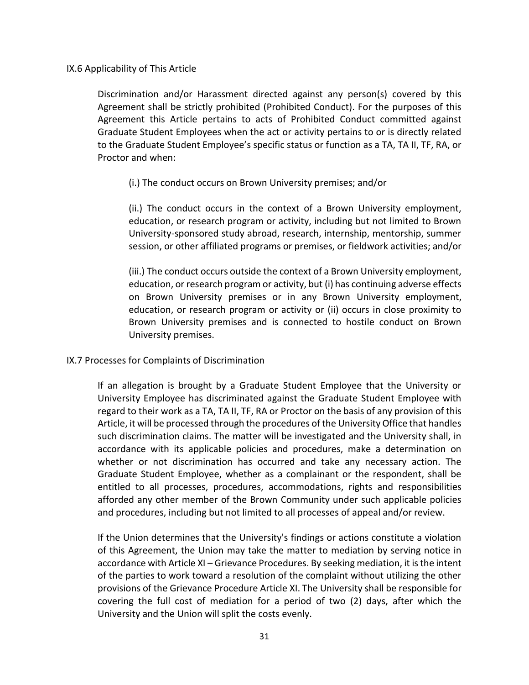IX.6 Applicability of This Article

Discrimination and/or Harassment directed against any person(s) covered by this Agreement shall be strictly prohibited (Prohibited Conduct). For the purposes of this Agreement this Article pertains to acts of Prohibited Conduct committed against Graduate Student Employees when the act or activity pertains to or is directly related to the Graduate Student Employee's specific status or function as a TA, TA II, TF, RA, or Proctor and when:

## (i.) The conduct occurs on Brown University premises; and/or

(ii.) The conduct occurs in the context of a Brown University employment, education, or research program or activity, including but not limited to Brown University-sponsored study abroad, research, internship, mentorship, summer session, or other affiliated programs or premises, or fieldwork activities; and/or

(iii.) The conduct occurs outside the context of a Brown University employment, education, or research program or activity, but (i) has continuing adverse effects on Brown University premises or in any Brown University employment, education, or research program or activity or (ii) occurs in close proximity to Brown University premises and is connected to hostile conduct on Brown University premises.

## IX.7 Processes for Complaints of Discrimination

If an allegation is brought by a Graduate Student Employee that the University or University Employee has discriminated against the Graduate Student Employee with regard to their work as a TA, TA II, TF, RA or Proctor on the basis of any provision of this Article, it will be processed through the procedures of the University Office that handles such discrimination claims. The matter will be investigated and the University shall, in accordance with its applicable policies and procedures, make a determination on whether or not discrimination has occurred and take any necessary action. The Graduate Student Employee, whether as a complainant or the respondent, shall be entitled to all processes, procedures, accommodations, rights and responsibilities afforded any other member of the Brown Community under such applicable policies and procedures, including but not limited to all processes of appeal and/or review.

If the Union determines that the University's findings or actions constitute a violation of this Agreement, the Union may take the matter to mediation by serving notice in accordance with Article XI – Grievance Procedures. By seeking mediation, it is the intent of the parties to work toward a resolution of the complaint without utilizing the other provisions of the Grievance Procedure Article XI. The University shall be responsible for covering the full cost of mediation for a period of two (2) days, after which the University and the Union will split the costs evenly.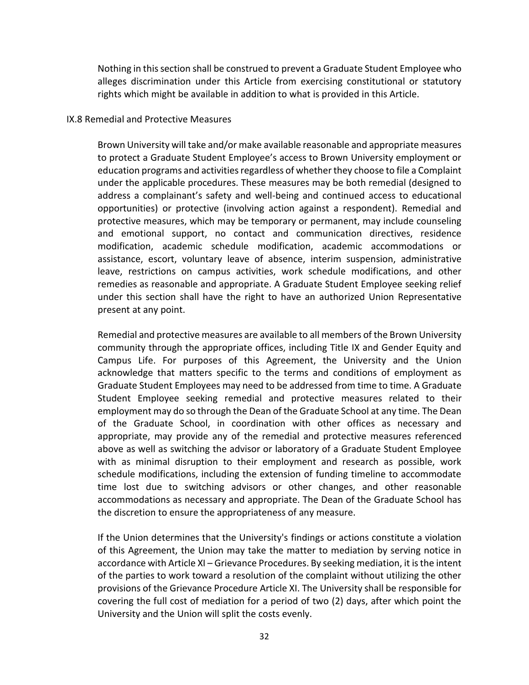Nothing in this section shall be construed to prevent a Graduate Student Employee who alleges discrimination under this Article from exercising constitutional or statutory rights which might be available in addition to what is provided in this Article.

#### IX.8 Remedial and Protective Measures

Brown University will take and/or make available reasonable and appropriate measures to protect a Graduate Student Employee's access to Brown University employment or education programs and activities regardless of whether they choose to file a Complaint under the applicable procedures. These measures may be both remedial (designed to address a complainant's safety and well-being and continued access to educational opportunities) or protective (involving action against a respondent). Remedial and protective measures, which may be temporary or permanent, may include counseling and emotional support, no contact and communication directives, residence modification, academic schedule modification, academic accommodations or assistance, escort, voluntary leave of absence, interim suspension, administrative leave, restrictions on campus activities, work schedule modifications, and other remedies as reasonable and appropriate. A Graduate Student Employee seeking relief under this section shall have the right to have an authorized Union Representative present at any point.

Remedial and protective measures are available to all members of the Brown University community through the appropriate offices, including Title IX and Gender Equity and Campus Life. For purposes of this Agreement, the University and the Union acknowledge that matters specific to the terms and conditions of employment as Graduate Student Employees may need to be addressed from time to time. A Graduate Student Employee seeking remedial and protective measures related to their employment may do so through the Dean of the Graduate School at any time. The Dean of the Graduate School, in coordination with other offices as necessary and appropriate, may provide any of the remedial and protective measures referenced above as well as switching the advisor or laboratory of a Graduate Student Employee with as minimal disruption to their employment and research as possible, work schedule modifications, including the extension of funding timeline to accommodate time lost due to switching advisors or other changes, and other reasonable accommodations as necessary and appropriate. The Dean of the Graduate School has the discretion to ensure the appropriateness of any measure.

If the Union determines that the University's findings or actions constitute a violation of this Agreement, the Union may take the matter to mediation by serving notice in accordance with Article XI – Grievance Procedures. By seeking mediation, it is the intent of the parties to work toward a resolution of the complaint without utilizing the other provisions of the Grievance Procedure Article XI. The University shall be responsible for covering the full cost of mediation for a period of two (2) days, after which point the University and the Union will split the costs evenly.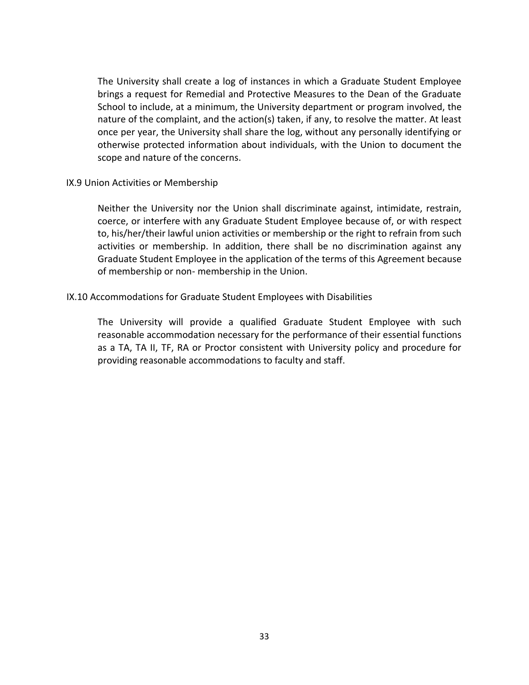The University shall create a log of instances in which a Graduate Student Employee brings a request for Remedial and Protective Measures to the Dean of the Graduate School to include, at a minimum, the University department or program involved, the nature of the complaint, and the action(s) taken, if any, to resolve the matter. At least once per year, the University shall share the log, without any personally identifying or otherwise protected information about individuals, with the Union to document the scope and nature of the concerns.

#### IX.9 Union Activities or Membership

Neither the University nor the Union shall discriminate against, intimidate, restrain, coerce, or interfere with any Graduate Student Employee because of, or with respect to, his/her/their lawful union activities or membership or the right to refrain from such activities or membership. In addition, there shall be no discrimination against any Graduate Student Employee in the application of the terms of this Agreement because of membership or non- membership in the Union.

## IX.10 Accommodations for Graduate Student Employees with Disabilities

The University will provide a qualified Graduate Student Employee with such reasonable accommodation necessary for the performance of their essential functions as a TA, TA II, TF, RA or Proctor consistent with University policy and procedure for providing reasonable accommodations to faculty and staff.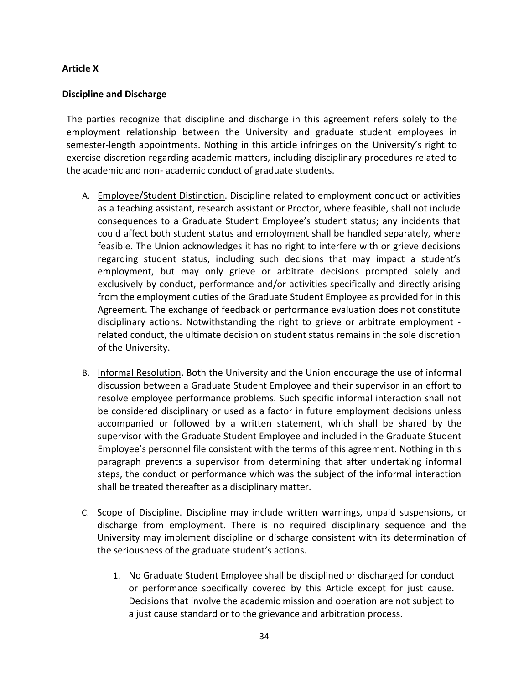## **Article X**

# **Discipline and Discharge**

The parties recognize that discipline and discharge in this agreement refers solely to the employment relationship between the University and graduate student employees in semester-length appointments. Nothing in this article infringes on the University's right to exercise discretion regarding academic matters, including disciplinary procedures related to the academic and non- academic conduct of graduate students.

- A. Employee/Student Distinction. Discipline related to employment conduct or activities as a teaching assistant, research assistant or Proctor, where feasible, shall not include consequences to a Graduate Student Employee's student status; any incidents that could affect both student status and employment shall be handled separately, where feasible. The Union acknowledges it has no right to interfere with or grieve decisions regarding student status, including such decisions that may impact a student's employment, but may only grieve or arbitrate decisions prompted solely and exclusively by conduct, performance and/or activities specifically and directly arising from the employment duties of the Graduate Student Employee as provided for in this Agreement. The exchange of feedback or performance evaluation does not constitute disciplinary actions. Notwithstanding the right to grieve or arbitrate employment related conduct, the ultimate decision on student status remains in the sole discretion of the University.
- B. Informal Resolution. Both the University and the Union encourage the use of informal discussion between a Graduate Student Employee and their supervisor in an effort to resolve employee performance problems. Such specific informal interaction shall not be considered disciplinary or used as a factor in future employment decisions unless accompanied or followed by a written statement, which shall be shared by the supervisor with the Graduate Student Employee and included in the Graduate Student Employee's personnel file consistent with the terms of this agreement. Nothing in this paragraph prevents a supervisor from determining that after undertaking informal steps, the conduct or performance which was the subject of the informal interaction shall be treated thereafter as a disciplinary matter.
- C. Scope of Discipline. Discipline may include written warnings, unpaid suspensions, or discharge from employment. There is no required disciplinary sequence and the University may implement discipline or discharge consistent with its determination of the seriousness of the graduate student's actions.
	- 1. No Graduate Student Employee shall be disciplined or discharged for conduct or performance specifically covered by this Article except for just cause. Decisions that involve the academic mission and operation are not subject to a just cause standard or to the grievance and arbitration process.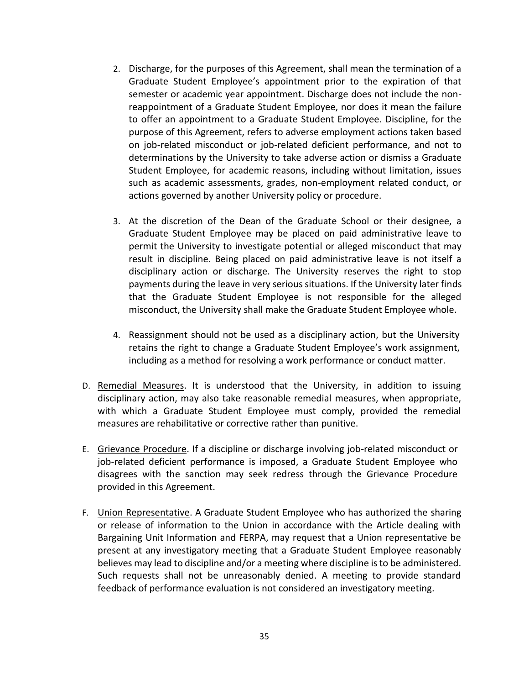- 2. Discharge, for the purposes of this Agreement, shall mean the termination of a Graduate Student Employee's appointment prior to the expiration of that semester or academic year appointment. Discharge does not include the nonreappointment of a Graduate Student Employee, nor does it mean the failure to offer an appointment to a Graduate Student Employee. Discipline, for the purpose of this Agreement, refers to adverse employment actions taken based on job-related misconduct or job-related deficient performance, and not to determinations by the University to take adverse action or dismiss a Graduate Student Employee, for academic reasons, including without limitation, issues such as academic assessments, grades, non-employment related conduct, or actions governed by another University policy or procedure.
- 3. At the discretion of the Dean of the Graduate School or their designee, a Graduate Student Employee may be placed on paid administrative leave to permit the University to investigate potential or alleged misconduct that may result in discipline. Being placed on paid administrative leave is not itself a disciplinary action or discharge. The University reserves the right to stop payments during the leave in very serious situations. If the University later finds that the Graduate Student Employee is not responsible for the alleged misconduct, the University shall make the Graduate Student Employee whole.
- 4. Reassignment should not be used as a disciplinary action, but the University retains the right to change a Graduate Student Employee's work assignment, including as a method for resolving a work performance or conduct matter.
- D. Remedial Measures. It is understood that the University, in addition to issuing disciplinary action, may also take reasonable remedial measures, when appropriate, with which a Graduate Student Employee must comply, provided the remedial measures are rehabilitative or corrective rather than punitive.
- E. Grievance Procedure. If a discipline or discharge involving job-related misconduct or job-related deficient performance is imposed, a Graduate Student Employee who disagrees with the sanction may seek redress through the Grievance Procedure provided in this Agreement.
- F. **Union Representative.** A Graduate Student Employee who has authorized the sharing or release of information to the Union in accordance with the Article dealing with Bargaining Unit Information and FERPA, may request that a Union representative be present at any investigatory meeting that a Graduate Student Employee reasonably believes may lead to discipline and/or a meeting where discipline is to be administered. Such requests shall not be unreasonably denied. A meeting to provide standard feedback of performance evaluation is not considered an investigatory meeting.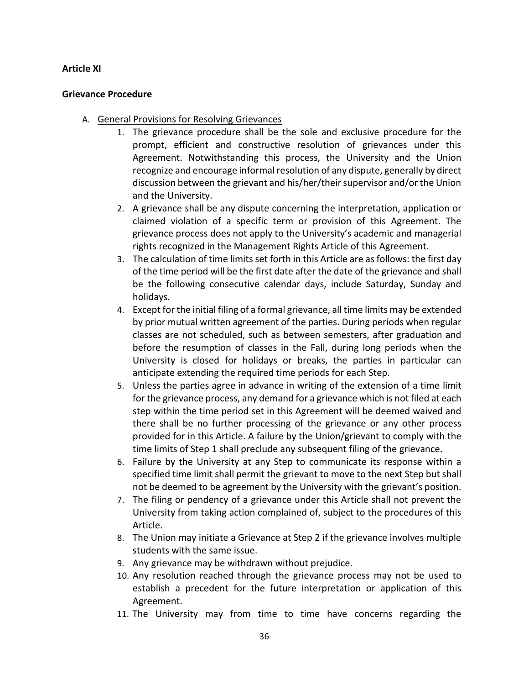### **Article XI**

### **Grievance Procedure**

- A. General Provisions for Resolving Grievances
	- 1. The grievance procedure shall be the sole and exclusive procedure for the prompt, efficient and constructive resolution of grievances under this Agreement. Notwithstanding this process, the University and the Union recognize and encourage informal resolution of any dispute, generally by direct discussion between the grievant and his/her/their supervisor and/or the Union and the University.
	- 2. A grievance shall be any dispute concerning the interpretation, application or claimed violation of a specific term or provision of this Agreement. The grievance process does not apply to the University's academic and managerial rights recognized in the Management Rights Article of this Agreement.
	- 3. The calculation of time limits set forth in this Article are as follows: the first day of the time period will be the first date after the date of the grievance and shall be the following consecutive calendar days, include Saturday, Sunday and holidays.
	- 4. Except for the initial filing of a formal grievance, all time limits may be extended by prior mutual written agreement of the parties. During periods when regular classes are not scheduled, such as between semesters, after graduation and before the resumption of classes in the Fall, during long periods when the University is closed for holidays or breaks, the parties in particular can anticipate extending the required time periods for each Step.
	- 5. Unless the parties agree in advance in writing of the extension of a time limit for the grievance process, any demand for a grievance which is not filed at each step within the time period set in this Agreement will be deemed waived and there shall be no further processing of the grievance or any other process provided for in this Article. A failure by the Union/grievant to comply with the time limits of Step 1 shall preclude any subsequent filing of the grievance.
	- 6. Failure by the University at any Step to communicate its response within a specified time limit shall permit the grievant to move to the next Step but shall not be deemed to be agreement by the University with the grievant's position.
	- 7. The filing or pendency of a grievance under this Article shall not prevent the University from taking action complained of, subject to the procedures of this Article.
	- 8. The Union may initiate a Grievance at Step 2 if the grievance involves multiple students with the same issue.
	- 9. Any grievance may be withdrawn without prejudice.
	- 10. Any resolution reached through the grievance process may not be used to establish a precedent for the future interpretation or application of this Agreement.
	- 11. The University may from time to time have concerns regarding the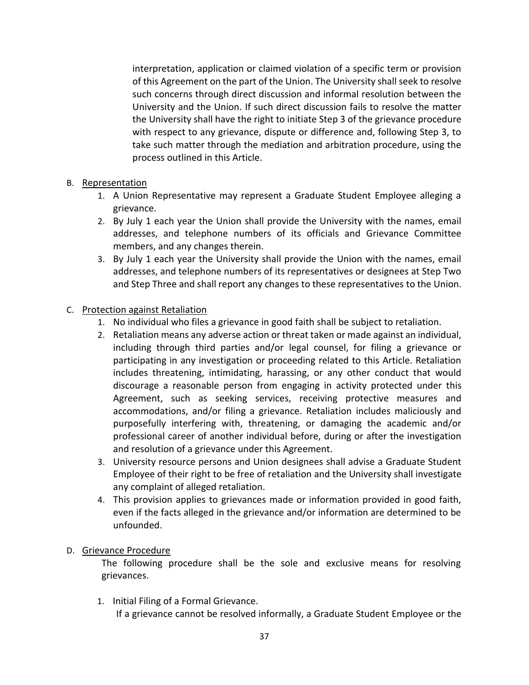interpretation, application or claimed violation of a specific term or provision of this Agreement on the part of the Union. The University shall seek to resolve such concerns through direct discussion and informal resolution between the University and the Union. If such direct discussion fails to resolve the matter the University shall have the right to initiate Step 3 of the grievance procedure with respect to any grievance, dispute or difference and, following Step 3, to take such matter through the mediation and arbitration procedure, using the process outlined in this Article.

# B. Representation

- 1. A Union Representative may represent a Graduate Student Employee alleging a grievance.
- 2. By July 1 each year the Union shall provide the University with the names, email addresses, and telephone numbers of its officials and Grievance Committee members, and any changes therein.
- 3. By July 1 each year the University shall provide the Union with the names, email addresses, and telephone numbers of its representatives or designees at Step Two and Step Three and shall report any changes to these representatives to the Union.

# C. Protection against Retaliation

- 1. No individual who files a grievance in good faith shall be subject to retaliation.
- 2. Retaliation means any adverse action or threat taken or made against an individual, including through third parties and/or legal counsel, for filing a grievance or participating in any investigation or proceeding related to this Article. Retaliation includes threatening, intimidating, harassing, or any other conduct that would discourage a reasonable person from engaging in activity protected under this Agreement, such as seeking services, receiving protective measures and accommodations, and/or filing a grievance. Retaliation includes maliciously and purposefully interfering with, threatening, or damaging the academic and/or professional career of another individual before, during or after the investigation and resolution of a grievance under this Agreement.
- 3. University resource persons and Union designees shall advise a Graduate Student Employee of their right to be free of retaliation and the University shall investigate any complaint of alleged retaliation.
- 4. This provision applies to grievances made or information provided in good faith, even if the facts alleged in the grievance and/or information are determined to be unfounded.

# D. Grievance Procedure

The following procedure shall be the sole and exclusive means for resolving grievances.

1. Initial Filing of a Formal Grievance.

If a grievance cannot be resolved informally, a Graduate Student Employee or the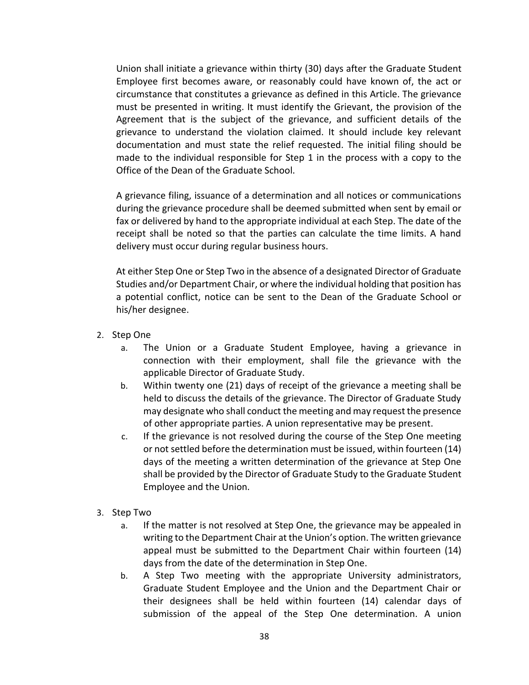Union shall initiate a grievance within thirty (30) days after the Graduate Student Employee first becomes aware, or reasonably could have known of, the act or circumstance that constitutes a grievance as defined in this Article. The grievance must be presented in writing. It must identify the Grievant, the provision of the Agreement that is the subject of the grievance, and sufficient details of the grievance to understand the violation claimed. It should include key relevant documentation and must state the relief requested. The initial filing should be made to the individual responsible for Step 1 in the process with a copy to the Office of the Dean of the Graduate School.

A grievance filing, issuance of a determination and all notices or communications during the grievance procedure shall be deemed submitted when sent by email or fax or delivered by hand to the appropriate individual at each Step. The date of the receipt shall be noted so that the parties can calculate the time limits. A hand delivery must occur during regular business hours.

At either Step One or Step Two in the absence of a designated Director of Graduate Studies and/or Department Chair, or where the individual holding that position has a potential conflict, notice can be sent to the Dean of the Graduate School or his/her designee.

- 2. Step One
	- a. The Union or a Graduate Student Employee, having a grievance in connection with their employment, shall file the grievance with the applicable Director of Graduate Study.
	- b. Within twenty one (21) days of receipt of the grievance a meeting shall be held to discuss the details of the grievance. The Director of Graduate Study may designate who shall conduct the meeting and may request the presence of other appropriate parties. A union representative may be present.
	- c. If the grievance is not resolved during the course of the Step One meeting or not settled before the determination must be issued, within fourteen (14) days of the meeting a written determination of the grievance at Step One shall be provided by the Director of Graduate Study to the Graduate Student Employee and the Union.
- 3. Step Two
	- a. If the matter is not resolved at Step One, the grievance may be appealed in writing to the Department Chair at the Union's option. The written grievance appeal must be submitted to the Department Chair within fourteen (14) days from the date of the determination in Step One.
	- b. A Step Two meeting with the appropriate University administrators, Graduate Student Employee and the Union and the Department Chair or their designees shall be held within fourteen (14) calendar days of submission of the appeal of the Step One determination. A union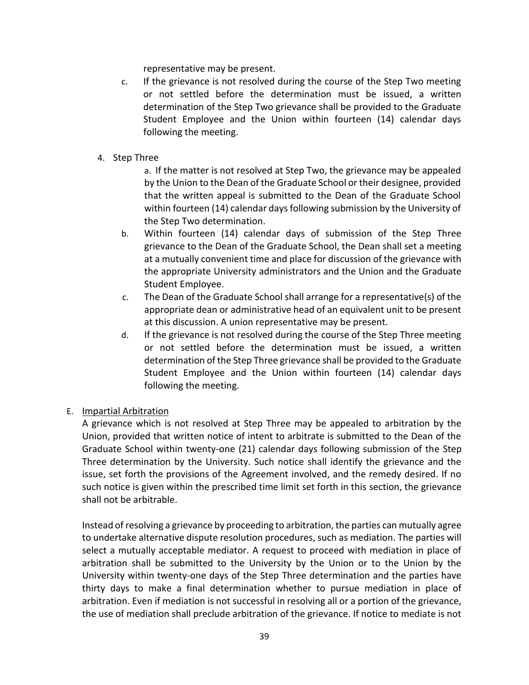representative may be present.

- c. If the grievance is not resolved during the course of the Step Two meeting or not settled before the determination must be issued, a written determination of the Step Two grievance shall be provided to the Graduate Student Employee and the Union within fourteen (14) calendar days following the meeting.
- 4. Step Three

a. If the matter is not resolved at Step Two, the grievance may be appealed by the Union to the Dean of the Graduate School or their designee, provided that the written appeal is submitted to the Dean of the Graduate School within fourteen (14) calendar days following submission by the University of the Step Two determination.

- b. Within fourteen (14) calendar days of submission of the Step Three grievance to the Dean of the Graduate School, the Dean shall set a meeting at a mutually convenient time and place for discussion of the grievance with the appropriate University administrators and the Union and the Graduate Student Employee.
- c. The Dean of the Graduate School shall arrange for a representative(s) of the appropriate dean or administrative head of an equivalent unit to be present at this discussion. A union representative may be present.
- d. If the grievance is not resolved during the course of the Step Three meeting or not settled before the determination must be issued, a written determination of the Step Three grievance shall be provided to the Graduate Student Employee and the Union within fourteen (14) calendar days following the meeting.

# E. Impartial Arbitration

A grievance which is not resolved at Step Three may be appealed to arbitration by the Union, provided that written notice of intent to arbitrate is submitted to the Dean of the Graduate School within twenty-one (21) calendar days following submission of the Step Three determination by the University. Such notice shall identify the grievance and the issue, set forth the provisions of the Agreement involved, and the remedy desired. If no such notice is given within the prescribed time limit set forth in this section, the grievance shall not be arbitrable.

Instead of resolving a grievance by proceeding to arbitration, the parties can mutually agree to undertake alternative dispute resolution procedures, such as mediation. The parties will select a mutually acceptable mediator. A request to proceed with mediation in place of arbitration shall be submitted to the University by the Union or to the Union by the University within twenty-one days of the Step Three determination and the parties have thirty days to make a final determination whether to pursue mediation in place of arbitration. Even if mediation is not successful in resolving all or a portion of the grievance, the use of mediation shall preclude arbitration of the grievance. If notice to mediate is not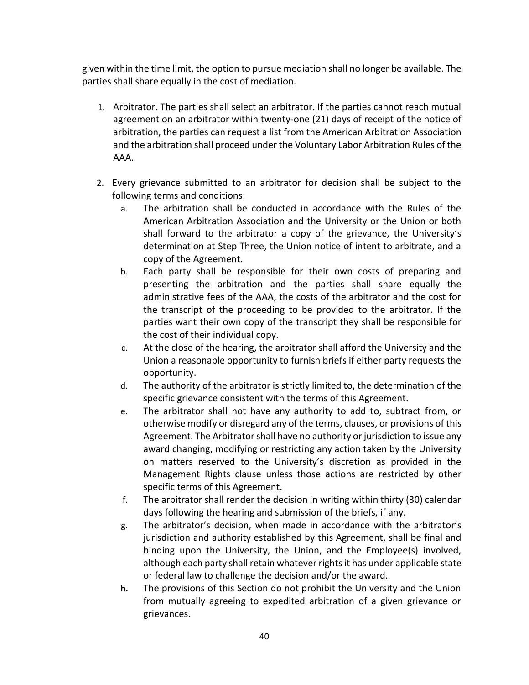given within the time limit, the option to pursue mediation shall no longer be available. The parties shall share equally in the cost of mediation.

- 1. Arbitrator. The parties shall select an arbitrator. If the parties cannot reach mutual agreement on an arbitrator within twenty-one (21) days of receipt of the notice of arbitration, the parties can request a list from the American Arbitration Association and the arbitration shall proceed under the Voluntary Labor Arbitration Rules of the AAA.
- 2. Every grievance submitted to an arbitrator for decision shall be subject to the following terms and conditions:
	- a. The arbitration shall be conducted in accordance with the Rules of the American Arbitration Association and the University or the Union or both shall forward to the arbitrator a copy of the grievance, the University's determination at Step Three, the Union notice of intent to arbitrate, and a copy of the Agreement.
	- b. Each party shall be responsible for their own costs of preparing and presenting the arbitration and the parties shall share equally the administrative fees of the AAA, the costs of the arbitrator and the cost for the transcript of the proceeding to be provided to the arbitrator. If the parties want their own copy of the transcript they shall be responsible for the cost of their individual copy.
	- c. At the close of the hearing, the arbitrator shall afford the University and the Union a reasonable opportunity to furnish briefs if either party requests the opportunity.
	- d. The authority of the arbitrator is strictly limited to, the determination of the specific grievance consistent with the terms of this Agreement.
	- e. The arbitrator shall not have any authority to add to, subtract from, or otherwise modify or disregard any of the terms, clauses, or provisions of this Agreement. The Arbitrator shall have no authority or jurisdiction to issue any award changing, modifying or restricting any action taken by the University on matters reserved to the University's discretion as provided in the Management Rights clause unless those actions are restricted by other specific terms of this Agreement.
	- f. The arbitrator shall render the decision in writing within thirty (30) calendar days following the hearing and submission of the briefs, if any.
	- g. The arbitrator's decision, when made in accordance with the arbitrator's jurisdiction and authority established by this Agreement, shall be final and binding upon the University, the Union, and the Employee(s) involved, although each party shall retain whatever rights it has under applicable state or federal law to challenge the decision and/or the award.
	- **h.** The provisions of this Section do not prohibit the University and the Union from mutually agreeing to expedited arbitration of a given grievance or grievances.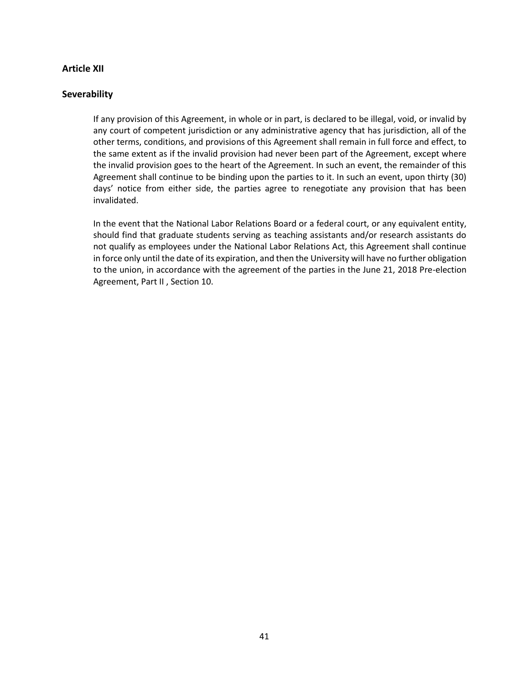#### **Article XII**

#### **Severability**

If any provision of this Agreement, in whole or in part, is declared to be illegal, void, or invalid by any court of competent jurisdiction or any administrative agency that has jurisdiction, all of the other terms, conditions, and provisions of this Agreement shall remain in full force and effect, to the same extent as if the invalid provision had never been part of the Agreement, except where the invalid provision goes to the heart of the Agreement. In such an event, the remainder of this Agreement shall continue to be binding upon the parties to it. In such an event, upon thirty (30) days' notice from either side, the parties agree to renegotiate any provision that has been invalidated.

In the event that the National Labor Relations Board or a federal court, or any equivalent entity, should find that graduate students serving as teaching assistants and/or research assistants do not qualify as employees under the National Labor Relations Act, this Agreement shall continue in force only until the date of its expiration, and then the University will have no further obligation to the union, in accordance with the agreement of the parties in the June 21, 2018 Pre-election Agreement, Part II , Section 10.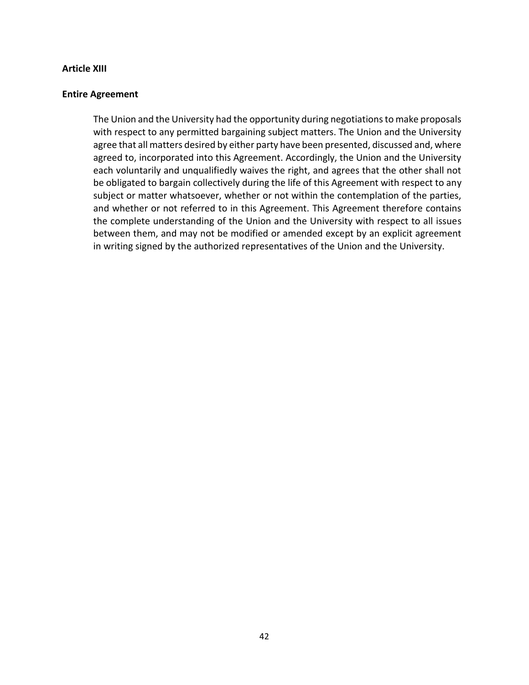#### **Article XIII**

#### **Entire Agreement**

The Union and the University had the opportunity during negotiations to make proposals with respect to any permitted bargaining subject matters. The Union and the University agree that all matters desired by either party have been presented, discussed and, where agreed to, incorporated into this Agreement. Accordingly, the Union and the University each voluntarily and unqualifiedly waives the right, and agrees that the other shall not be obligated to bargain collectively during the life of this Agreement with respect to any subject or matter whatsoever, whether or not within the contemplation of the parties, and whether or not referred to in this Agreement. This Agreement therefore contains the complete understanding of the Union and the University with respect to all issues between them, and may not be modified or amended except by an explicit agreement in writing signed by the authorized representatives of the Union and the University.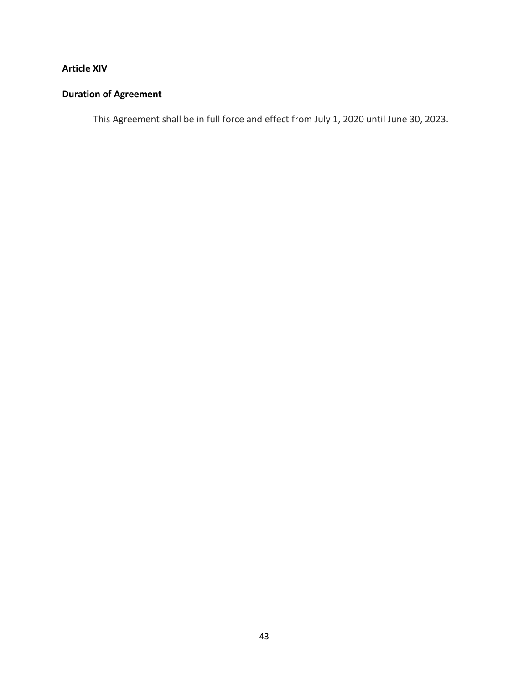# **Article XIV**

# **Duration of Agreement**

This Agreement shall be in full force and effect from July 1, 2020 until June 30, 2023.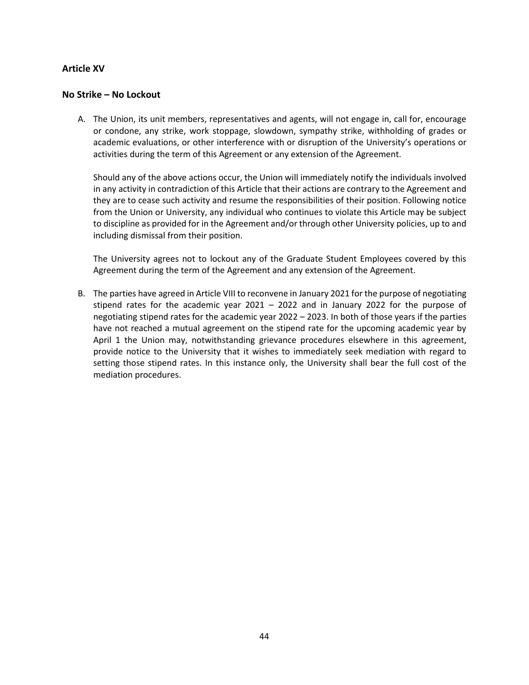### **Article XV**

#### **No Strike – No Lockout**

A. The Union, its unit members, representatives and agents, will not engage in, call for, encourage or condone, any strike, work stoppage, slowdown, sympathy strike, withholding of grades or academic evaluations, or other interference with or disruption of the University's operations or activities during the term of this Agreement or any extension of the Agreement.

Should any of the above actions occur, the Union will immediately notify the individuals involved in any activity in contradiction of this Article that their actions are contrary to the Agreement and they are to cease such activity and resume the responsibilities of their position. Following notice from the Union or University, any individual who continues to violate this Article may be subject to discipline as provided for in the Agreement and/or through other University policies, up to and including dismissal from their position.

The University agrees not to lockout any of the Graduate Student Employees covered by this Agreement during the term of the Agreement and any extension of the Agreement.

B. The parties have agreed in Article VIII to reconvene in January 2021 for the purpose of negotiating stipend rates for the academic year 2021 – 2022 and in January 2022 for the purpose of negotiating stipend rates for the academic year 2022 – 2023. In both of those years if the parties have not reached a mutual agreement on the stipend rate for the upcoming academic year by April 1 the Union may, notwithstanding grievance procedures elsewhere in this agreement, provide notice to the University that it wishes to immediately seek mediation with regard to setting those stipend rates. In this instance only, the University shall bear the full cost of the mediation procedures.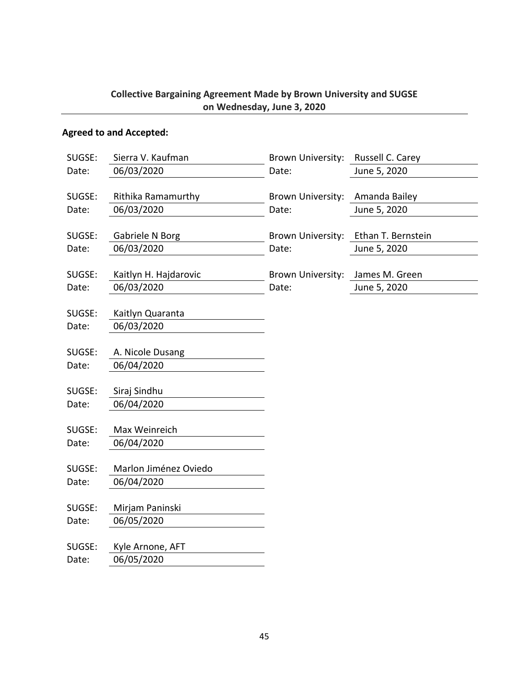# **Collective Bargaining Agreement Made by Brown University and SUGSE on Wednesday, June 3, 2020**

# **Agreed to and Accepted:**

| SUGSE: | Sierra V. Kaufman     | Brown University:        | Russell C. Carey   |
|--------|-----------------------|--------------------------|--------------------|
| Date:  | 06/03/2020            | Date:                    | June 5, 2020       |
|        |                       |                          |                    |
| SUGSE: | Rithika Ramamurthy    | <b>Brown University:</b> | Amanda Bailey      |
| Date:  | 06/03/2020            | Date:                    | June 5, 2020       |
|        |                       |                          |                    |
| SUGSE: | Gabriele N Borg       | Brown University:        | Ethan T. Bernstein |
| Date:  | 06/03/2020            | Date:                    | June 5, 2020       |
|        |                       |                          |                    |
| SUGSE: | Kaitlyn H. Hajdarovic | Brown University:        | James M. Green     |
| Date:  | 06/03/2020            | Date:                    | June 5, 2020       |
|        |                       |                          |                    |
| SUGSE: | Kaitlyn Quaranta      |                          |                    |
| Date:  | 06/03/2020            |                          |                    |
|        |                       |                          |                    |
| SUGSE: | A. Nicole Dusang      |                          |                    |
| Date:  | 06/04/2020            |                          |                    |
|        |                       |                          |                    |
| SUGSE: | Siraj Sindhu          |                          |                    |
| Date:  | 06/04/2020            |                          |                    |
|        |                       |                          |                    |
| SUGSE: | Max Weinreich         |                          |                    |
| Date:  | 06/04/2020            |                          |                    |
|        |                       |                          |                    |
| SUGSE: | Marlon Jiménez Oviedo |                          |                    |
| Date:  | 06/04/2020            |                          |                    |
|        |                       |                          |                    |
| SUGSE: | Mirjam Paninski       |                          |                    |
| Date:  | 06/05/2020            |                          |                    |
|        |                       |                          |                    |
| SUGSE: | Kyle Arnone, AFT      |                          |                    |
| Date:  | 06/05/2020            |                          |                    |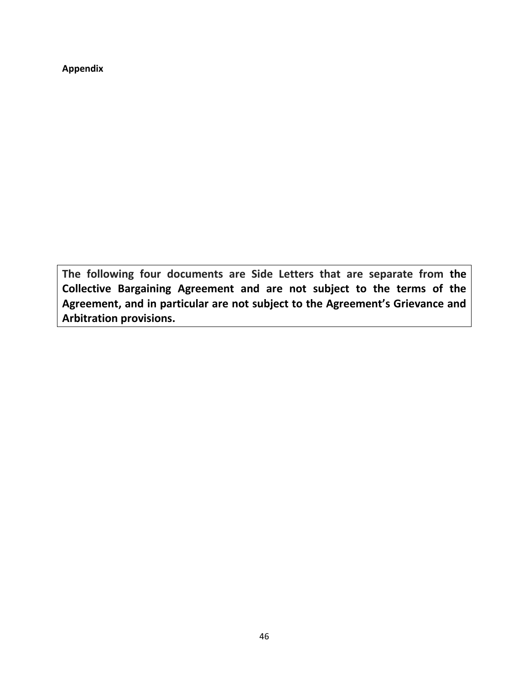**Appendix**

**The following four documents are Side Letters that are separate from the Collective Bargaining Agreement and are not subject to the terms of the Agreement, and in particular are not subject to the Agreement's Grievance and Arbitration provisions.**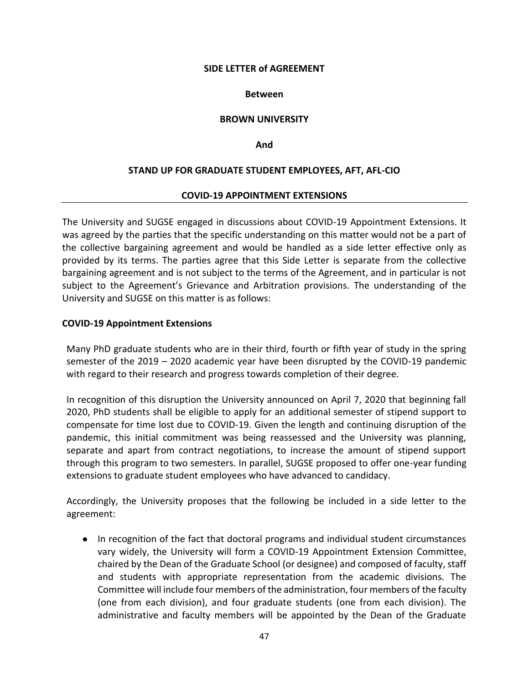#### **Between**

### **BROWN UNIVERSITY**

#### **And**

## **STAND UP FOR GRADUATE STUDENT EMPLOYEES, AFT, AFL-CIO**

#### **COVID-19 APPOINTMENT EXTENSIONS**

The University and SUGSE engaged in discussions about COVID-19 Appointment Extensions. It was agreed by the parties that the specific understanding on this matter would not be a part of the collective bargaining agreement and would be handled as a side letter effective only as provided by its terms. The parties agree that this Side Letter is separate from the collective bargaining agreement and is not subject to the terms of the Agreement, and in particular is not subject to the Agreement's Grievance and Arbitration provisions. The understanding of the University and SUGSE on this matter is as follows:

### **COVID-19 Appointment Extensions**

Many PhD graduate students who are in their third, fourth or fifth year of study in the spring semester of the 2019 – 2020 academic year have been disrupted by the COVID-19 pandemic with regard to their research and progress towards completion of their degree.

In recognition of this disruption the University announced on April 7, 2020 that beginning fall 2020, PhD students shall be eligible to apply for an additional semester of stipend support to compensate for time lost due to COVID-19. Given the length and continuing disruption of the pandemic, this initial commitment was being reassessed and the University was planning, separate and apart from contract negotiations, to increase the amount of stipend support through this program to two semesters. In parallel, SUGSE proposed to offer one-year funding extensions to graduate student employees who have advanced to candidacy.

Accordingly, the University proposes that the following be included in a side letter to the agreement:

● In recognition of the fact that doctoral programs and individual student circumstances vary widely, the University will form a COVID-19 Appointment Extension Committee, chaired by the Dean of the Graduate School (or designee) and composed of faculty, staff and students with appropriate representation from the academic divisions. The Committee will include four members of the administration, four members of the faculty (one from each division), and four graduate students (one from each division). The administrative and faculty members will be appointed by the Dean of the Graduate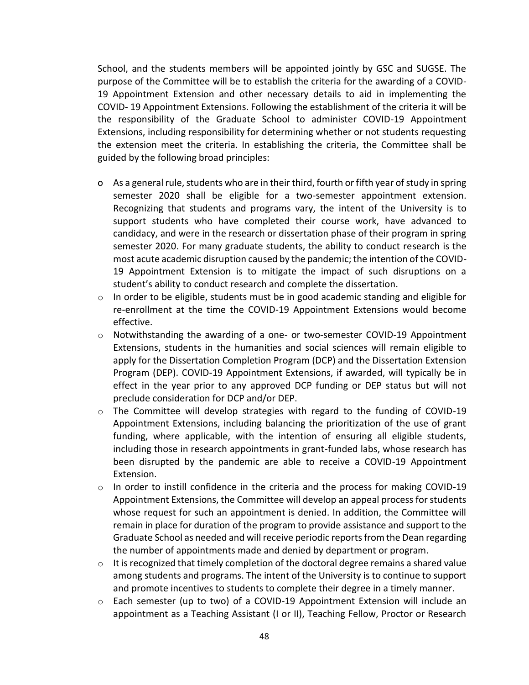School, and the students members will be appointed jointly by GSC and SUGSE. The purpose of the Committee will be to establish the criteria for the awarding of a COVID-19 Appointment Extension and other necessary details to aid in implementing the COVID- 19 Appointment Extensions. Following the establishment of the criteria it will be the responsibility of the Graduate School to administer COVID-19 Appointment Extensions, including responsibility for determining whether or not students requesting the extension meet the criteria. In establishing the criteria, the Committee shall be guided by the following broad principles:

- o As a general rule, students who are in their third, fourth or fifth year of study in spring semester 2020 shall be eligible for a two-semester appointment extension. Recognizing that students and programs vary, the intent of the University is to support students who have completed their course work, have advanced to candidacy, and were in the research or dissertation phase of their program in spring semester 2020. For many graduate students, the ability to conduct research is the most acute academic disruption caused by the pandemic; the intention of the COVID-19 Appointment Extension is to mitigate the impact of such disruptions on a student's ability to conduct research and complete the dissertation.
- $\circ$  In order to be eligible, students must be in good academic standing and eligible for re-enrollment at the time the COVID-19 Appointment Extensions would become effective.
- $\circ$  Notwithstanding the awarding of a one- or two-semester COVID-19 Appointment Extensions, students in the humanities and social sciences will remain eligible to apply for the Dissertation Completion Program (DCP) and the Dissertation Extension Program (DEP). COVID-19 Appointment Extensions, if awarded, will typically be in effect in the year prior to any approved DCP funding or DEP status but will not preclude consideration for DCP and/or DEP.
- $\circ$  The Committee will develop strategies with regard to the funding of COVID-19 Appointment Extensions, including balancing the prioritization of the use of grant funding, where applicable, with the intention of ensuring all eligible students, including those in research appointments in grant-funded labs, whose research has been disrupted by the pandemic are able to receive a COVID-19 Appointment Extension.
- $\circ$  In order to instill confidence in the criteria and the process for making COVID-19 Appointment Extensions, the Committee will develop an appeal process for students whose request for such an appointment is denied. In addition, the Committee will remain in place for duration of the program to provide assistance and support to the Graduate School as needed and will receive periodic reports from the Dean regarding the number of appointments made and denied by department or program.
- $\circ$  It is recognized that timely completion of the doctoral degree remains a shared value among students and programs. The intent of the University is to continue to support and promote incentives to students to complete their degree in a timely manner.
- o Each semester (up to two) of a COVID-19 Appointment Extension will include an appointment as a Teaching Assistant (I or II), Teaching Fellow, Proctor or Research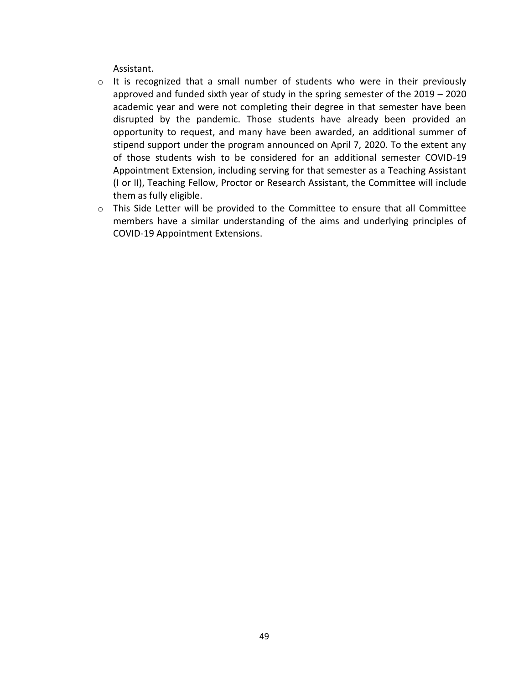Assistant.

- $\circ$  It is recognized that a small number of students who were in their previously approved and funded sixth year of study in the spring semester of the 2019 – 2020 academic year and were not completing their degree in that semester have been disrupted by the pandemic. Those students have already been provided an opportunity to request, and many have been awarded, an additional summer of stipend support under the program announced on April 7, 2020. To the extent any of those students wish to be considered for an additional semester COVID-19 Appointment Extension, including serving for that semester as a Teaching Assistant (I or II), Teaching Fellow, Proctor or Research Assistant, the Committee will include them as fully eligible.
- $\circ$  This Side Letter will be provided to the Committee to ensure that all Committee members have a similar understanding of the aims and underlying principles of COVID-19 Appointment Extensions.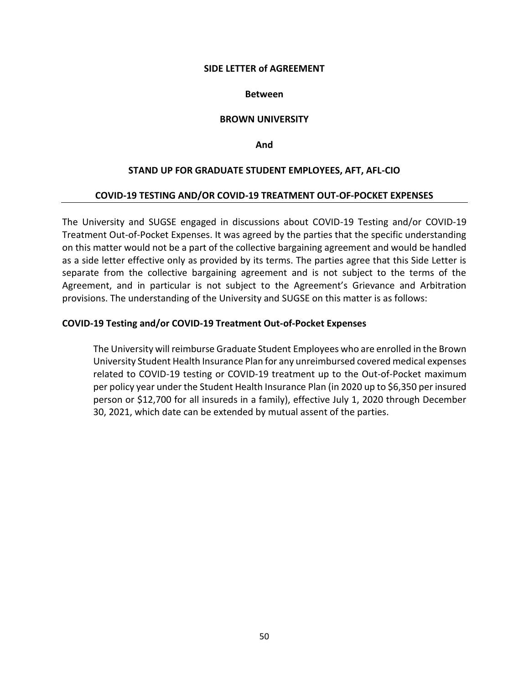#### **Between**

#### **BROWN UNIVERSITY**

**And**

#### **STAND UP FOR GRADUATE STUDENT EMPLOYEES, AFT, AFL-CIO**

#### **COVID-19 TESTING AND/OR COVID-19 TREATMENT OUT-OF-POCKET EXPENSES**

The University and SUGSE engaged in discussions about COVID-19 Testing and/or COVID-19 Treatment Out-of-Pocket Expenses. It was agreed by the parties that the specific understanding on this matter would not be a part of the collective bargaining agreement and would be handled as a side letter effective only as provided by its terms. The parties agree that this Side Letter is separate from the collective bargaining agreement and is not subject to the terms of the Agreement, and in particular is not subject to the Agreement's Grievance and Arbitration provisions. The understanding of the University and SUGSE on this matter is as follows:

#### **COVID-19 Testing and/or COVID-19 Treatment Out-of-Pocket Expenses**

The University will reimburse Graduate Student Employees who are enrolled in the Brown University Student Health Insurance Plan for any unreimbursed covered medical expenses related to COVID-19 testing or COVID-19 treatment up to the Out-of-Pocket maximum per policy year under the Student Health Insurance Plan (in 2020 up to \$6,350 per insured person or \$12,700 for all insureds in a family), effective July 1, 2020 through December 30, 2021, which date can be extended by mutual assent of the parties.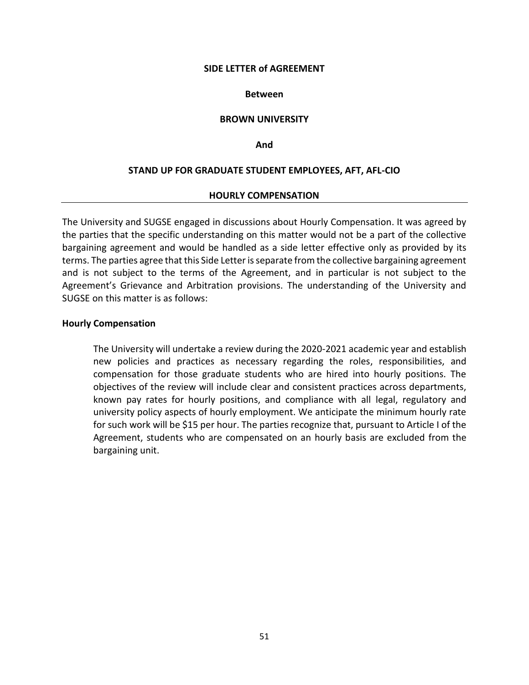#### **Between**

#### **BROWN UNIVERSITY**

#### **And**

#### **STAND UP FOR GRADUATE STUDENT EMPLOYEES, AFT, AFL-CIO**

#### **HOURLY COMPENSATION**

The University and SUGSE engaged in discussions about Hourly Compensation. It was agreed by the parties that the specific understanding on this matter would not be a part of the collective bargaining agreement and would be handled as a side letter effective only as provided by its terms. The parties agree that this Side Letter is separate from the collective bargaining agreement and is not subject to the terms of the Agreement, and in particular is not subject to the Agreement's Grievance and Arbitration provisions. The understanding of the University and SUGSE on this matter is as follows:

#### **Hourly Compensation**

The University will undertake a review during the 2020-2021 academic year and establish new policies and practices as necessary regarding the roles, responsibilities, and compensation for those graduate students who are hired into hourly positions. The objectives of the review will include clear and consistent practices across departments, known pay rates for hourly positions, and compliance with all legal, regulatory and university policy aspects of hourly employment. We anticipate the minimum hourly rate for such work will be \$15 per hour. The parties recognize that, pursuant to Article I of the Agreement, students who are compensated on an hourly basis are excluded from the bargaining unit.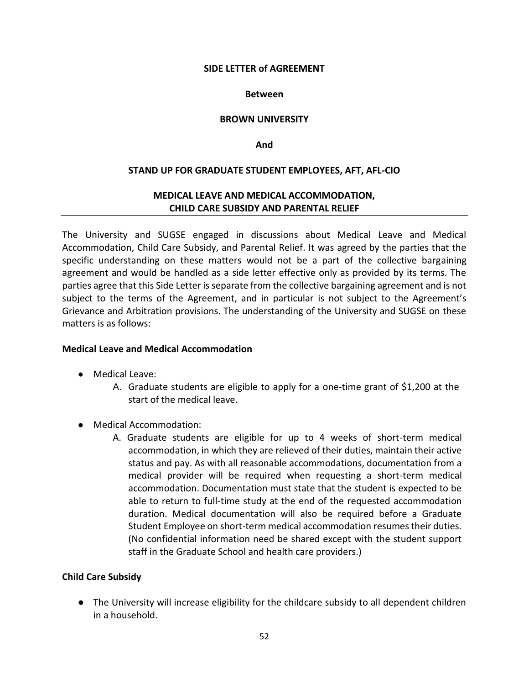#### **Between**

#### **BROWN UNIVERSITY**

**And**

#### **STAND UP FOR GRADUATE STUDENT EMPLOYEES, AFT, AFL-CIO**

## **MEDICAL LEAVE AND MEDICAL ACCOMMODATION, CHILD CARE SUBSIDY AND PARENTAL RELIEF**

The University and SUGSE engaged in discussions about Medical Leave and Medical Accommodation, Child Care Subsidy, and Parental Relief. It was agreed by the parties that the specific understanding on these matters would not be a part of the collective bargaining agreement and would be handled as a side letter effective only as provided by its terms. The parties agree that this Side Letter is separate from the collective bargaining agreement and is not subject to the terms of the Agreement, and in particular is not subject to the Agreement's Grievance and Arbitration provisions. The understanding of the University and SUGSE on these matters is as follows:

#### **Medical Leave and Medical Accommodation**

- Medical Leave:
	- A. Graduate students are eligible to apply for a one-time grant of \$1,200 at the start of the medical leave.
- Medical Accommodation:
	- A. Graduate students are eligible for up to 4 weeks of short-term medical accommodation, in which they are relieved of their duties, maintain their active status and pay. As with all reasonable accommodations, documentation from a medical provider will be required when requesting a short-term medical accommodation. Documentation must state that the student is expected to be able to return to full-time study at the end of the requested accommodation duration. Medical documentation will also be required before a Graduate Student Employee on short-term medical accommodation resumes their duties. (No confidential information need be shared except with the student support staff in the Graduate School and health care providers.)

#### **Child Care Subsidy**

● The University will increase eligibility for the childcare subsidy to all dependent children in a household.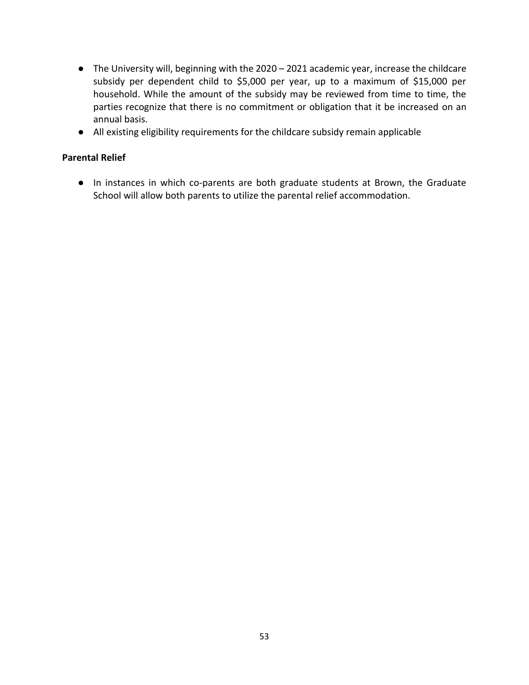- The University will, beginning with the 2020 2021 academic year, increase the childcare subsidy per dependent child to \$5,000 per year, up to a maximum of \$15,000 per household. While the amount of the subsidy may be reviewed from time to time, the parties recognize that there is no commitment or obligation that it be increased on an annual basis.
- All existing eligibility requirements for the childcare subsidy remain applicable

# **Parental Relief**

● In instances in which co-parents are both graduate students at Brown, the Graduate School will allow both parents to utilize the parental relief accommodation.